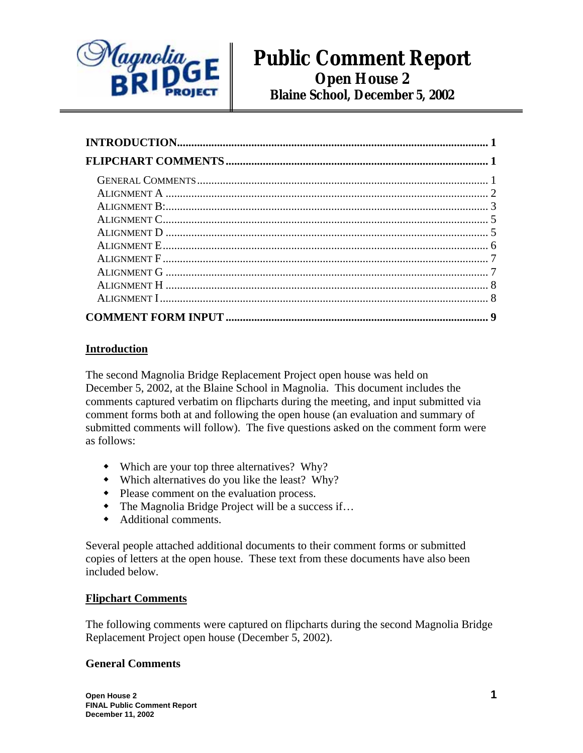

# **Public Comment Report Open House 2 Blaine School, December 5, 2002**

# **Introduction**

The second Magnolia Bridge Replacement Project open house was held on December 5, 2002, at the Blaine School in Magnolia. This document includes the comments captured verbatim on flipcharts during the meeting, and input submitted via comment forms both at and following the open house (an evaluation and summary of submitted comments will follow). The five questions asked on the comment form were as follows:

- Which are your top three alternatives? Why?
- Which alternatives do you like the least? Why?
- Please comment on the evaluation process.
- The Magnolia Bridge Project will be a success if...
- Additional comments.

Several people attached additional documents to their comment forms or submitted copies of letters at the open house. These text from these documents have also been included below.

### **Flipchart Comments**

The following comments were captured on flipcharts during the second Magnolia Bridge Replacement Project open house (December 5, 2002).

### **General Comments**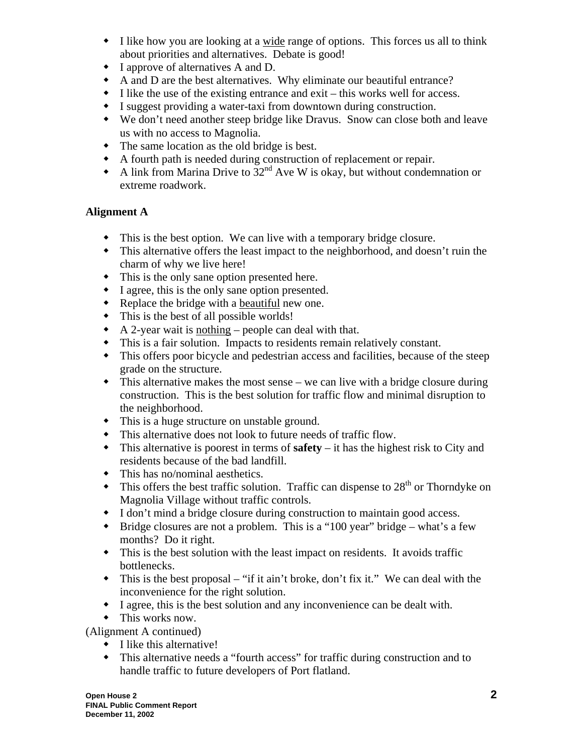- I like how you are looking at a wide range of options. This forces us all to think about priorities and alternatives. Debate is good!
- I approve of alternatives A and D.
- A and D are the best alternatives. Why eliminate our beautiful entrance?
- $\bullet$  I like the use of the existing entrance and exit this works well for access.
- I suggest providing a water-taxi from downtown during construction.
- We don't need another steep bridge like Dravus. Snow can close both and leave us with no access to Magnolia.
- The same location as the old bridge is best.
- A fourth path is needed during construction of replacement or repair.
- A link from Marina Drive to  $32<sup>nd</sup>$  Ave W is okay, but without condemnation or extreme roadwork.

# **Alignment A**

- This is the best option. We can live with a temporary bridge closure.
- This alternative offers the least impact to the neighborhood, and doesn't ruin the charm of why we live here!
- This is the only sane option presented here.
- I agree, this is the only sane option presented.
- Replace the bridge with a beautiful new one.
- This is the best of all possible worlds!
- $\triangle$  A 2-year wait is nothing people can deal with that.
- This is a fair solution. Impacts to residents remain relatively constant.
- This offers poor bicycle and pedestrian access and facilities, because of the steep grade on the structure.
- This alternative makes the most sense we can live with a bridge closure during construction. This is the best solution for traffic flow and minimal disruption to the neighborhood.
- This is a huge structure on unstable ground.
- This alternative does not look to future needs of traffic flow.
- This alternative is poorest in terms of **safety** it has the highest risk to City and residents because of the bad landfill.
- This has no/nominal aesthetics.
- $\bullet$  This offers the best traffic solution. Traffic can dispense to 28<sup>th</sup> or Thorndyke on Magnolia Village without traffic controls.
- I don't mind a bridge closure during construction to maintain good access.
- $\bullet$  Bridge closures are not a problem. This is a "100 year" bridge what's a few months? Do it right.
- This is the best solution with the least impact on residents. It avoids traffic bottlenecks.
- $\bullet$  This is the best proposal "if it ain't broke, don't fix it." We can deal with the inconvenience for the right solution.
- I agree, this is the best solution and any inconvenience can be dealt with.
- This works now.

(Alignment A continued)

- $\bullet$  I like this alternative!
- This alternative needs a "fourth access" for traffic during construction and to handle traffic to future developers of Port flatland.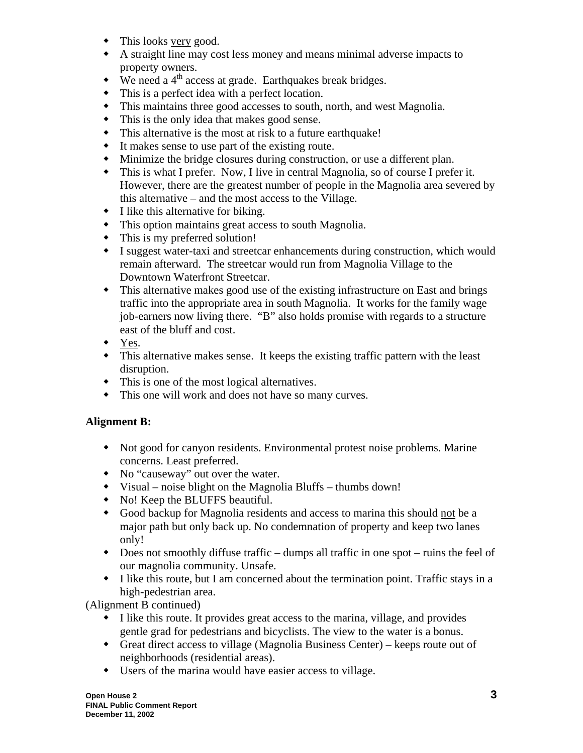- This looks very good.
- A straight line may cost less money and means minimal adverse impacts to property owners.
- $\bullet$  We need a 4<sup>th</sup> access at grade. Earthquakes break bridges.
- This is a perfect idea with a perfect location.
- This maintains three good accesses to south, north, and west Magnolia.
- This is the only idea that makes good sense.
- This alternative is the most at risk to a future earthquake!
- It makes sense to use part of the existing route.
- Minimize the bridge closures during construction, or use a different plan.
- This is what I prefer. Now, I live in central Magnolia, so of course I prefer it. However, there are the greatest number of people in the Magnolia area severed by this alternative – and the most access to the Village.
- I like this alternative for biking.
- This option maintains great access to south Magnolia.
- This is my preferred solution!
- I suggest water-taxi and streetcar enhancements during construction, which would remain afterward. The streetcar would run from Magnolia Village to the Downtown Waterfront Streetcar.
- This alternative makes good use of the existing infrastructure on East and brings traffic into the appropriate area in south Magnolia. It works for the family wage job-earners now living there. "B" also holds promise with regards to a structure east of the bluff and cost.
- Yes.
- This alternative makes sense. It keeps the existing traffic pattern with the least disruption.
- This is one of the most logical alternatives.
- This one will work and does not have so many curves.

# **Alignment B:**

- Not good for canyon residents. Environmental protest noise problems. Marine concerns. Least preferred.
- No "causeway" out over the water.
- Visual noise blight on the Magnolia Bluffs thumbs down!
- No! Keep the BLUFFS beautiful.
- Good backup for Magnolia residents and access to marina this should not be a major path but only back up. No condemnation of property and keep two lanes only!
- Does not smoothly diffuse traffic dumps all traffic in one spot ruins the feel of our magnolia community. Unsafe.
- I like this route, but I am concerned about the termination point. Traffic stays in a high-pedestrian area.

(Alignment B continued)

- I like this route. It provides great access to the marina, village, and provides gentle grad for pedestrians and bicyclists. The view to the water is a bonus.
- Great direct access to village (Magnolia Business Center) keeps route out of neighborhoods (residential areas).
- Users of the marina would have easier access to village.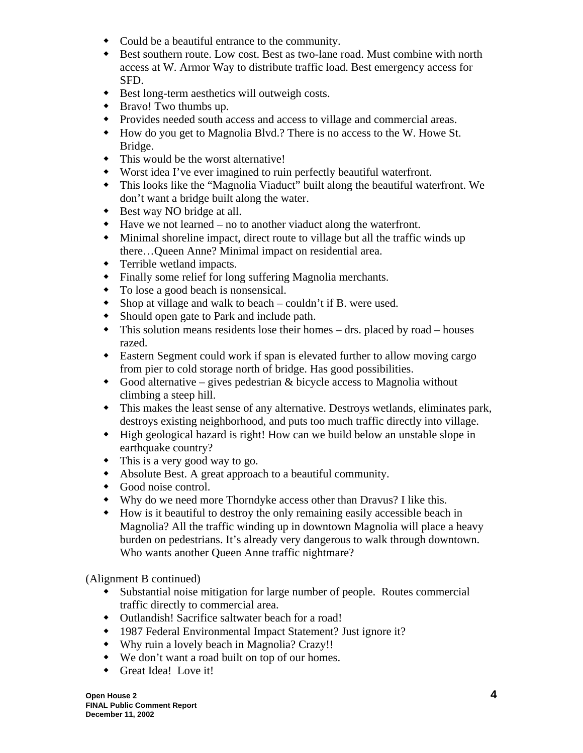- Could be a beautiful entrance to the community.
- Best southern route. Low cost. Best as two-lane road. Must combine with north access at W. Armor Way to distribute traffic load. Best emergency access for SFD.
- Best long-term aesthetics will outweigh costs.
- Bravo! Two thumbs up.
- Provides needed south access and access to village and commercial areas.
- How do you get to Magnolia Blvd.? There is no access to the W. Howe St. Bridge.
- This would be the worst alternative!
- Worst idea I've ever imagined to ruin perfectly beautiful waterfront.
- This looks like the "Magnolia Viaduct" built along the beautiful waterfront. We don't want a bridge built along the water.
- Best way NO bridge at all.
- Have we not learned no to another viaduct along the waterfront.
- Minimal shoreline impact, direct route to village but all the traffic winds up there…Queen Anne? Minimal impact on residential area.
- Terrible wetland impacts.
- Finally some relief for long suffering Magnolia merchants.
- To lose a good beach is nonsensical.
- Shop at village and walk to beach couldn't if B. were used.
- Should open gate to Park and include path.
- This solution means residents lose their homes drs. placed by road houses razed.
- Eastern Segment could work if span is elevated further to allow moving cargo from pier to cold storage north of bridge. Has good possibilities.
- $\bullet$  Good alternative gives pedestrian & bicycle access to Magnolia without climbing a steep hill.
- This makes the least sense of any alternative. Destroys wetlands, eliminates park, destroys existing neighborhood, and puts too much traffic directly into village.
- High geological hazard is right! How can we build below an unstable slope in earthquake country?
- This is a very good way to go.
- Absolute Best. A great approach to a beautiful community.
- Good noise control.
- Why do we need more Thorndyke access other than Dravus? I like this.
- How is it beautiful to destroy the only remaining easily accessible beach in Magnolia? All the traffic winding up in downtown Magnolia will place a heavy burden on pedestrians. It's already very dangerous to walk through downtown. Who wants another Queen Anne traffic nightmare?

(Alignment B continued)

- Substantial noise mitigation for large number of people. Routes commercial traffic directly to commercial area.
- Outlandish! Sacrifice saltwater beach for a road!
- 1987 Federal Environmental Impact Statement? Just ignore it?
- Why ruin a lovely beach in Magnolia? Crazy!!
- We don't want a road built on top of our homes.
- Great Idea! Love it!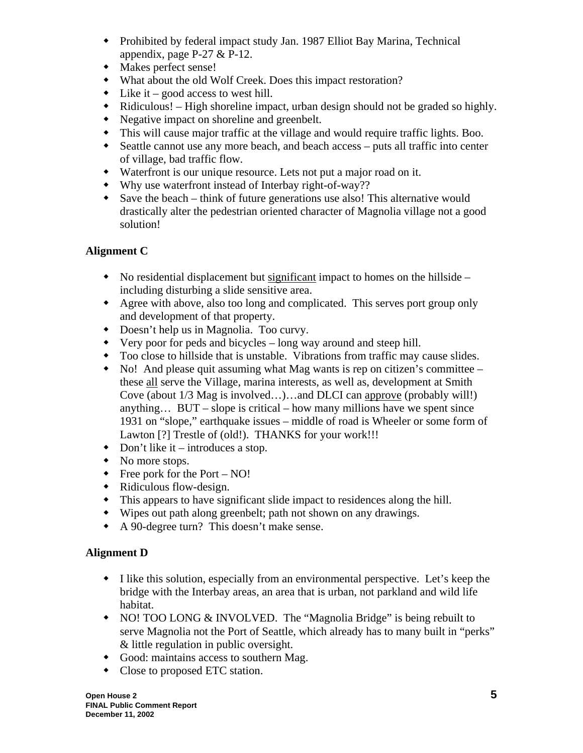- Prohibited by federal impact study Jan. 1987 Elliot Bay Marina, Technical appendix, page P-27 & P-12.
- Makes perfect sense!
- What about the old Wolf Creek. Does this impact restoration?
- $\bullet$  Like it good access to west hill.
- Ridiculous! High shoreline impact, urban design should not be graded so highly.
- Negative impact on shoreline and greenbelt.
- This will cause major traffic at the village and would require traffic lights. Boo.
- Seattle cannot use any more beach, and beach access puts all traffic into center of village, bad traffic flow.
- Waterfront is our unique resource. Lets not put a major road on it.
- Why use waterfront instead of Interbay right-of-way??
- Save the beach think of future generations use also! This alternative would drastically alter the pedestrian oriented character of Magnolia village not a good solution!

# **Alignment C**

- No residential displacement but significant impact to homes on the hillside including disturbing a slide sensitive area.
- Agree with above, also too long and complicated. This serves port group only and development of that property.
- Doesn't help us in Magnolia. Too curvy.
- Very poor for peds and bicycles long way around and steep hill.
- Too close to hillside that is unstable. Vibrations from traffic may cause slides.
- No! And please quit assuming what Mag wants is rep on citizen's committee these all serve the Village, marina interests, as well as, development at Smith Cove (about 1/3 Mag is involved…)…and DLCI can approve (probably will!) anything… BUT – slope is critical – how many millions have we spent since 1931 on "slope," earthquake issues – middle of road is Wheeler or some form of Lawton [?] Trestle of (old!). THANKS for your work!!!
- Don't like it introduces a stop.
- No more stops.
- $\bullet$  Free pork for the Port NO!
- Ridiculous flow-design.
- This appears to have significant slide impact to residences along the hill.
- Wipes out path along greenbelt; path not shown on any drawings.
- A 90-degree turn? This doesn't make sense.

# **Alignment D**

- I like this solution, especially from an environmental perspective. Let's keep the bridge with the Interbay areas, an area that is urban, not parkland and wild life habitat.
- NO! TOO LONG & INVOLVED. The "Magnolia Bridge" is being rebuilt to serve Magnolia not the Port of Seattle, which already has to many built in "perks" & little regulation in public oversight.
- Good: maintains access to southern Mag.
- Close to proposed ETC station.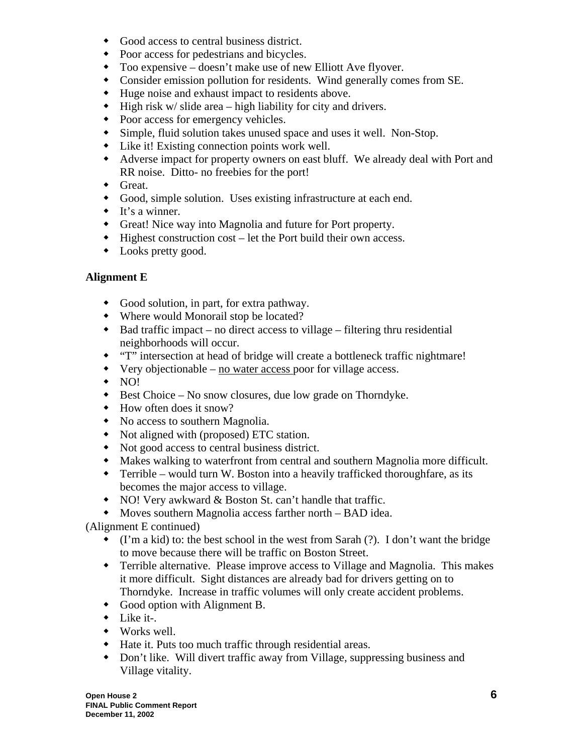- Good access to central business district.
- Poor access for pedestrians and bicycles.
- Too expensive doesn't make use of new Elliott Ave flyover.
- Consider emission pollution for residents. Wind generally comes from SE.
- Huge noise and exhaust impact to residents above.
- $\bullet$  High risk w/ slide area high liability for city and drivers.
- Poor access for emergency vehicles.
- Simple, fluid solution takes unused space and uses it well. Non-Stop.
- Like it! Existing connection points work well.
- Adverse impact for property owners on east bluff. We already deal with Port and RR noise. Ditto- no freebies for the port!
- Great.
- Good, simple solution. Uses existing infrastructure at each end.
- $\bullet$  It's a winner.
- Great! Nice way into Magnolia and future for Port property.
- Highest construction cost let the Port build their own access.
- Looks pretty good.

# **Alignment E**

- Good solution, in part, for extra pathway.
- Where would Monorail stop be located?
- $\bullet$  Bad traffic impact no direct access to village filtering thru residential neighborhoods will occur.
- "T" intersection at head of bridge will create a bottleneck traffic nightmare!
- Very objectionable no water access poor for village access.
- $\bullet$  NO!
- Best Choice No snow closures, due low grade on Thorndyke.
- How often does it snow?
- No access to southern Magnolia.
- Not aligned with (proposed) ETC station.
- Not good access to central business district.
- Makes walking to waterfront from central and southern Magnolia more difficult.
- Terrible would turn W. Boston into a heavily trafficked thoroughfare, as its becomes the major access to village.
- NO! Very awkward & Boston St. can't handle that traffic.
- Moves southern Magnolia access farther north BAD idea.

(Alignment E continued)

- $\bullet$  (I'm a kid) to: the best school in the west from Sarah (?). I don't want the bridge to move because there will be traffic on Boston Street.
- Terrible alternative. Please improve access to Village and Magnolia. This makes it more difficult. Sight distances are already bad for drivers getting on to Thorndyke. Increase in traffic volumes will only create accident problems.
- Good option with Alignment B.
- $\bullet$  Like it-.
- Works well.
- Hate it. Puts too much traffic through residential areas.
- Don't like. Will divert traffic away from Village, suppressing business and Village vitality.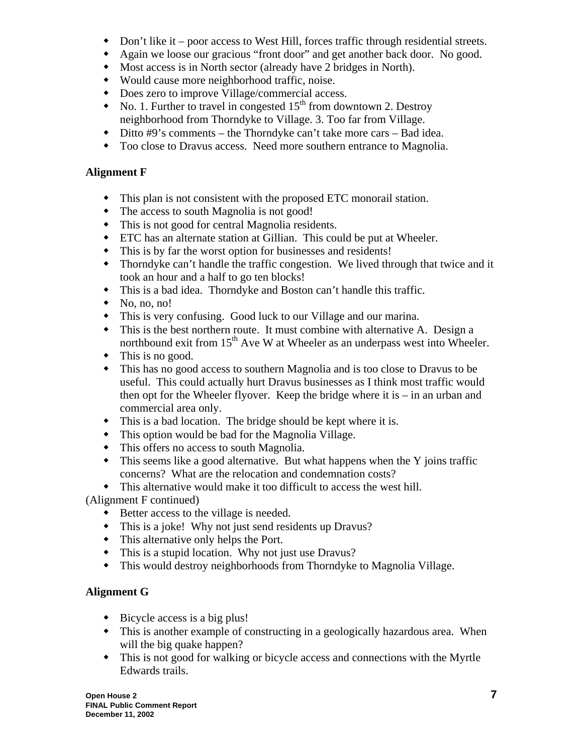- Don't like it poor access to West Hill, forces traffic through residential streets.
- Again we loose our gracious "front door" and get another back door. No good.
- Most access is in North sector (already have 2 bridges in North).
- Would cause more neighborhood traffic, noise.
- Does zero to improve Village/commercial access.
- $\bullet$  No. 1. Further to travel in congested 15<sup>th</sup> from downtown 2. Destroy neighborhood from Thorndyke to Village. 3. Too far from Village.
- Ditto #9's comments the Thorndyke can't take more cars Bad idea.
- Too close to Dravus access. Need more southern entrance to Magnolia.

# **Alignment F**

- This plan is not consistent with the proposed ETC monorail station.
- The access to south Magnolia is not good!
- This is not good for central Magnolia residents.
- ETC has an alternate station at Gillian. This could be put at Wheeler.
- This is by far the worst option for businesses and residents!
- Thorndyke can't handle the traffic congestion. We lived through that twice and it took an hour and a half to go ten blocks!
- This is a bad idea. Thorndyke and Boston can't handle this traffic.
- $\bullet$  No, no, no!
- This is very confusing. Good luck to our Village and our marina.
- This is the best northern route. It must combine with alternative A. Design a northbound exit from  $15<sup>th</sup>$  Ave W at Wheeler as an underpass west into Wheeler.
- $\bullet$  This is no good.
- This has no good access to southern Magnolia and is too close to Dravus to be useful. This could actually hurt Dravus businesses as I think most traffic would then opt for the Wheeler flyover. Keep the bridge where it is – in an urban and commercial area only.
- This is a bad location. The bridge should be kept where it is.
- This option would be bad for the Magnolia Village.
- This offers no access to south Magnolia.
- This seems like a good alternative. But what happens when the Y joins traffic concerns? What are the relocation and condemnation costs?
- This alternative would make it too difficult to access the west hill.

# (Alignment F continued)

- Better access to the village is needed.
- This is a joke! Why not just send residents up Dravus?
- This alternative only helps the Port.
- This is a stupid location. Why not just use Dravus?
- This would destroy neighborhoods from Thorndyke to Magnolia Village.

# **Alignment G**

- $\bullet$  Bicycle access is a big plus!
- This is another example of constructing in a geologically hazardous area. When will the big quake happen?
- This is not good for walking or bicycle access and connections with the Myrtle Edwards trails.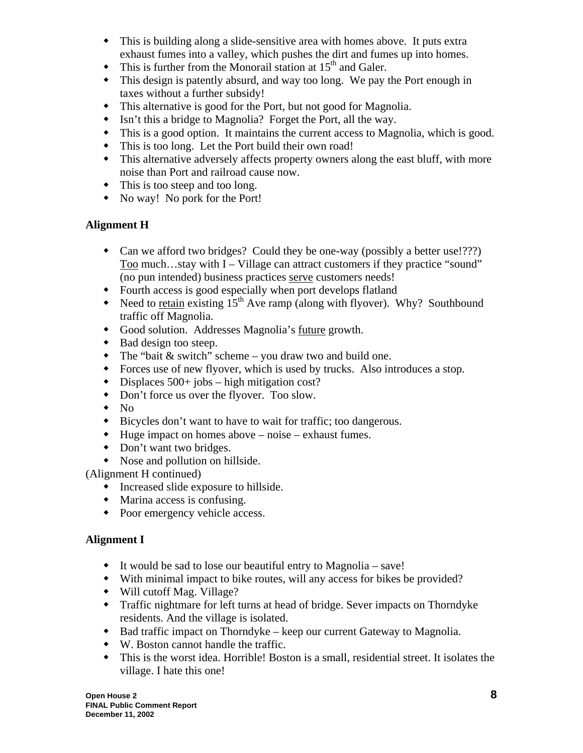- This is building along a slide-sensitive area with homes above. It puts extra exhaust fumes into a valley, which pushes the dirt and fumes up into homes.
- $\bullet$  This is further from the Monorail station at 15<sup>th</sup> and Galer.
- This design is patently absurd, and way too long. We pay the Port enough in taxes without a further subsidy!
- This alternative is good for the Port, but not good for Magnolia.
- Isn't this a bridge to Magnolia? Forget the Port, all the way.
- This is a good option. It maintains the current access to Magnolia, which is good.
- This is too long. Let the Port build their own road!
- This alternative adversely affects property owners along the east bluff, with more noise than Port and railroad cause now.
- This is too steep and too long.
- No way! No pork for the Port!

# **Alignment H**

- Can we afford two bridges? Could they be one-way (possibly a better use!???) Too much…stay with I – Village can attract customers if they practice "sound" (no pun intended) business practices serve customers needs!
- Fourth access is good especially when port develops flatland
- Need to retain existing  $15<sup>th</sup>$  Ave ramp (along with flyover). Why? Southbound traffic off Magnolia.
- Good solution. Addresses Magnolia's future growth.
- $\bullet$  Bad design too steep.
- $\bullet$  The "bait & switch" scheme you draw two and build one.
- Forces use of new flyover, which is used by trucks. Also introduces a stop.
- Displaces 500+ jobs high mitigation cost?
- Don't force us over the flyover. Too slow.
- $\bullet$  No
- Bicycles don't want to have to wait for traffic; too dangerous.
- $\bullet$  Huge impact on homes above noise exhaust fumes.
- Don't want two bridges.
- Nose and pollution on hillside.

(Alignment H continued)

- Increased slide exposure to hillside.
- Marina access is confusing.
- Poor emergency vehicle access.

# **Alignment I**

- It would be sad to lose our beautiful entry to Magnolia save!
- With minimal impact to bike routes, will any access for bikes be provided?
- Will cutoff Mag. Village?
- Traffic nightmare for left turns at head of bridge. Sever impacts on Thorndyke residents. And the village is isolated.
- Bad traffic impact on Thorndyke keep our current Gateway to Magnolia.
- W. Boston cannot handle the traffic.
- This is the worst idea. Horrible! Boston is a small, residential street. It isolates the village. I hate this one!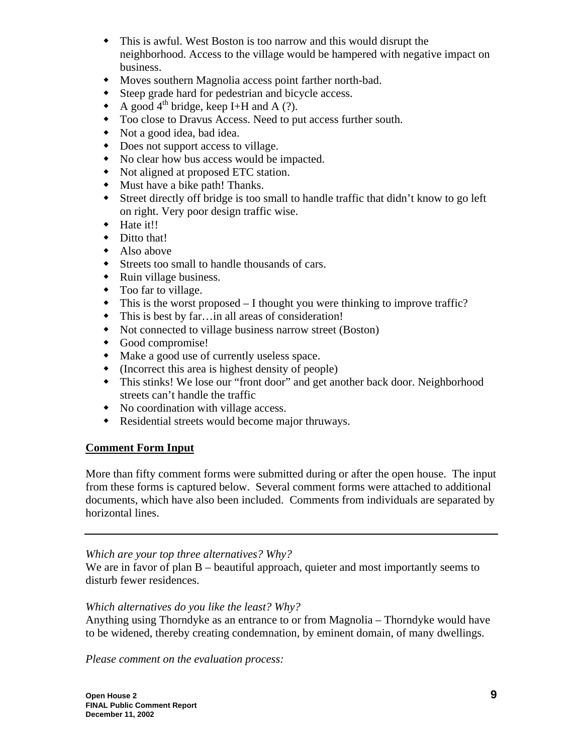- This is awful. West Boston is too narrow and this would disrupt the neighborhood. Access to the village would be hampered with negative impact on business.
- Moves southern Magnolia access point farther north-bad.
- Steep grade hard for pedestrian and bicycle access.
- A good  $4^{\text{th}}$  bridge, keep I+H and A (?).
- Too close to Dravus Access. Need to put access further south.
- Not a good idea, bad idea.
- Does not support access to village.
- No clear how bus access would be impacted.
- Not aligned at proposed ETC station.
- Must have a bike path! Thanks.
- Street directly off bridge is too small to handle traffic that didn't know to go left on right. Very poor design traffic wise.
- Hate it!!
- Ditto that!
- Also above
- Streets too small to handle thousands of cars.
- Ruin village business.
- Too far to village.
- This is the worst proposed I thought you were thinking to improve traffic?
- This is best by far…in all areas of consideration!
- Not connected to village business narrow street (Boston)
- Good compromise!
- Make a good use of currently useless space.
- (Incorrect this area is highest density of people)
- This stinks! We lose our "front door" and get another back door. Neighborhood streets can't handle the traffic
- No coordination with village access.
- Residential streets would become major thruways.

# **Comment Form Input**

More than fifty comment forms were submitted during or after the open house. The input from these forms is captured below. Several comment forms were attached to additional documents, which have also been included. Comments from individuals are separated by horizontal lines.

# *Which are your top three alternatives? Why?*

We are in favor of plan B – beautiful approach, quieter and most importantly seems to disturb fewer residences.

# *Which alternatives do you like the least? Why?*

Anything using Thorndyke as an entrance to or from Magnolia – Thorndyke would have to be widened, thereby creating condemnation, by eminent domain, of many dwellings.

*Please comment on the evaluation process:*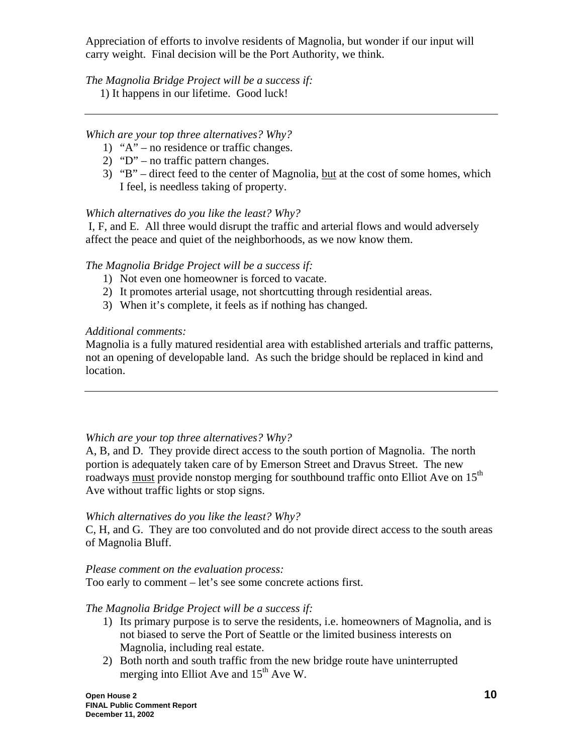Appreciation of efforts to involve residents of Magnolia, but wonder if our input will carry weight. Final decision will be the Port Authority, we think.

*The Magnolia Bridge Project will be a success if:* 

1) It happens in our lifetime. Good luck!

# *Which are your top three alternatives? Why?*

- 1) " $A$ " no residence or traffic changes.
- 2) "D" no traffic pattern changes.
- 3) "B" direct feed to the center of Magnolia, but at the cost of some homes, which I feel, is needless taking of property.

# *Which alternatives do you like the least? Why?*

 I, F, and E. All three would disrupt the traffic and arterial flows and would adversely affect the peace and quiet of the neighborhoods, as we now know them.

# *The Magnolia Bridge Project will be a success if:*

- 1) Not even one homeowner is forced to vacate.
- 2) It promotes arterial usage, not shortcutting through residential areas.
- 3) When it's complete, it feels as if nothing has changed.

# *Additional comments:*

Magnolia is a fully matured residential area with established arterials and traffic patterns, not an opening of developable land. As such the bridge should be replaced in kind and location.

### *Which are your top three alternatives? Why?*

A, B, and D. They provide direct access to the south portion of Magnolia. The north portion is adequately taken care of by Emerson Street and Dravus Street. The new roadways must provide nonstop merging for southbound traffic onto Elliot Ave on 15<sup>th</sup> Ave without traffic lights or stop signs.

### *Which alternatives do you like the least? Why?*

C, H, and G. They are too convoluted and do not provide direct access to the south areas of Magnolia Bluff.

### *Please comment on the evaluation process:*

Too early to comment – let's see some concrete actions first.

### *The Magnolia Bridge Project will be a success if:*

- 1) Its primary purpose is to serve the residents, i.e. homeowners of Magnolia, and is not biased to serve the Port of Seattle or the limited business interests on Magnolia, including real estate.
- 2) Both north and south traffic from the new bridge route have uninterrupted merging into Elliot Ave and  $15<sup>th</sup>$  Ave W.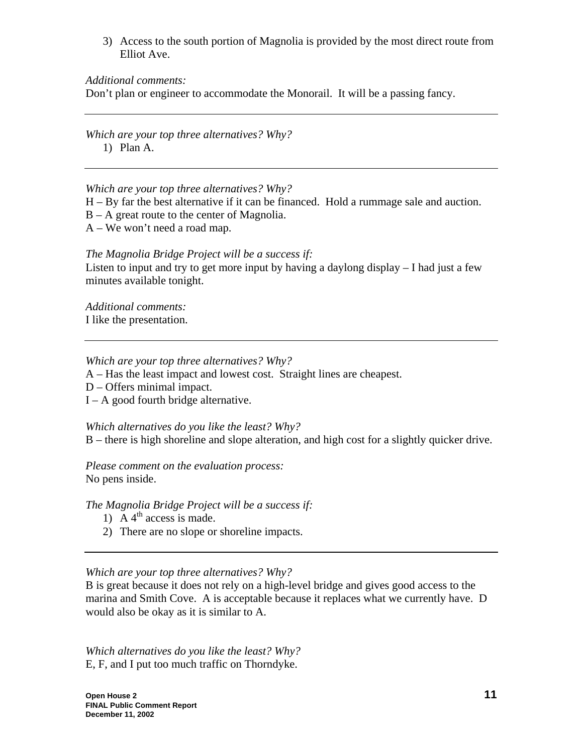3) Access to the south portion of Magnolia is provided by the most direct route from Elliot Ave.

### *Additional comments:*

Don't plan or engineer to accommodate the Monorail. It will be a passing fancy.

*Which are your top three alternatives? Why?* 

1) Plan A.

*Which are your top three alternatives? Why?* 

- H By far the best alternative if it can be financed. Hold a rummage sale and auction.
- B A great route to the center of Magnolia.
- A We won't need a road map.

# *The Magnolia Bridge Project will be a success if:*

Listen to input and try to get more input by having a daylong display – I had just a few minutes available tonight.

*Additional comments:*  I like the presentation.

# *Which are your top three alternatives? Why?*

A – Has the least impact and lowest cost. Straight lines are cheapest.

- D Offers minimal impact.
- $I A$  good fourth bridge alternative.

*Which alternatives do you like the least? Why?* B – there is high shoreline and slope alteration, and high cost for a slightly quicker drive.

*Please comment on the evaluation process:*  No pens inside.

*The Magnolia Bridge Project will be a success if:* 

- 1) A  $4^{\text{th}}$  access is made.
- 2) There are no slope or shoreline impacts.

# *Which are your top three alternatives? Why?*

B is great because it does not rely on a high-level bridge and gives good access to the marina and Smith Cove. A is acceptable because it replaces what we currently have. D would also be okay as it is similar to A.

*Which alternatives do you like the least? Why?* E, F, and I put too much traffic on Thorndyke.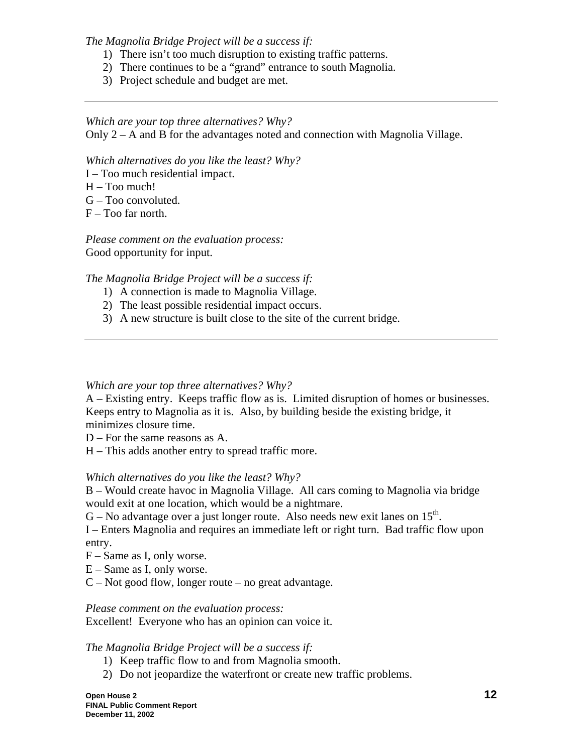*The Magnolia Bridge Project will be a success if:* 

- 1) There isn't too much disruption to existing traffic patterns.
- 2) There continues to be a "grand" entrance to south Magnolia.
- 3) Project schedule and budget are met.

#### *Which are your top three alternatives? Why?*

Only 2 – A and B for the advantages noted and connection with Magnolia Village.

*Which alternatives do you like the least? Why?*

- I Too much residential impact.
- H Too much!
- G Too convoluted.
- $F Too$  far north.

*Please comment on the evaluation process:*  Good opportunity for input.

*The Magnolia Bridge Project will be a success if:* 

- 1) A connection is made to Magnolia Village.
- 2) The least possible residential impact occurs.
- 3) A new structure is built close to the site of the current bridge.

### *Which are your top three alternatives? Why?*

A – Existing entry. Keeps traffic flow as is. Limited disruption of homes or businesses. Keeps entry to Magnolia as it is. Also, by building beside the existing bridge, it minimizes closure time.

D – For the same reasons as A.

H – This adds another entry to spread traffic more.

#### *Which alternatives do you like the least? Why?*

B – Would create havoc in Magnolia Village. All cars coming to Magnolia via bridge would exit at one location, which would be a nightmare.

 $G - No$  advantage over a just longer route. Also needs new exit lanes on 15<sup>th</sup>.

I – Enters Magnolia and requires an immediate left or right turn. Bad traffic flow upon entry.

- F Same as I, only worse.
- E Same as I, only worse.
- $C$  Not good flow, longer route no great advantage.

*Please comment on the evaluation process:* 

Excellent! Everyone who has an opinion can voice it.

### *The Magnolia Bridge Project will be a success if:*

- 1) Keep traffic flow to and from Magnolia smooth.
- 2) Do not jeopardize the waterfront or create new traffic problems.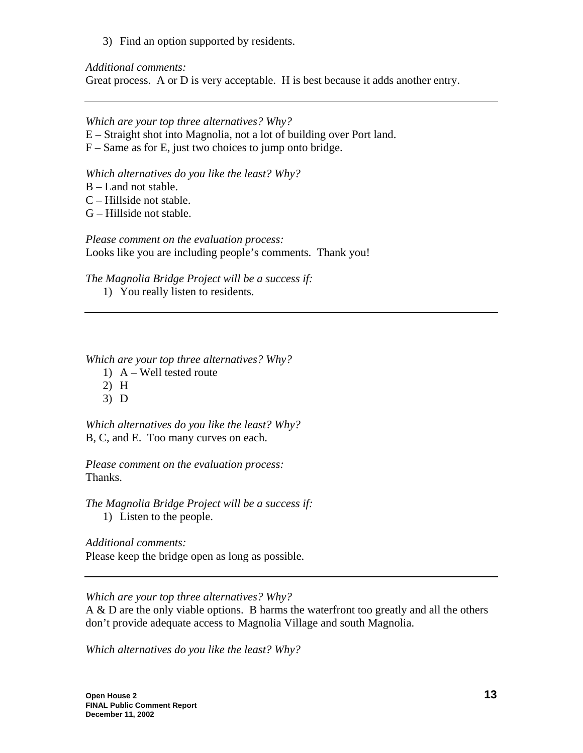3) Find an option supported by residents.

*Additional comments:* 

Great process. A or D is very acceptable. H is best because it adds another entry.

*Which are your top three alternatives? Why?* 

- E Straight shot into Magnolia, not a lot of building over Port land.
- F Same as for E, just two choices to jump onto bridge.

*Which alternatives do you like the least? Why?*

- B Land not stable.
- C Hillside not stable.
- G Hillside not stable.

*Please comment on the evaluation process:*  Looks like you are including people's comments. Thank you!

*The Magnolia Bridge Project will be a success if:* 

1) You really listen to residents.

*Which are your top three alternatives? Why?* 

- 1) A Well tested route
- 2) H
- 3) D

*Which alternatives do you like the least? Why?* B, C, and E. Too many curves on each.

*Please comment on the evaluation process:*  Thanks.

*The Magnolia Bridge Project will be a success if:* 

1) Listen to the people.

*Additional comments:*  Please keep the bridge open as long as possible.

*Which are your top three alternatives? Why?* 

A & D are the only viable options. B harms the waterfront too greatly and all the others don't provide adequate access to Magnolia Village and south Magnolia.

*Which alternatives do you like the least? Why?*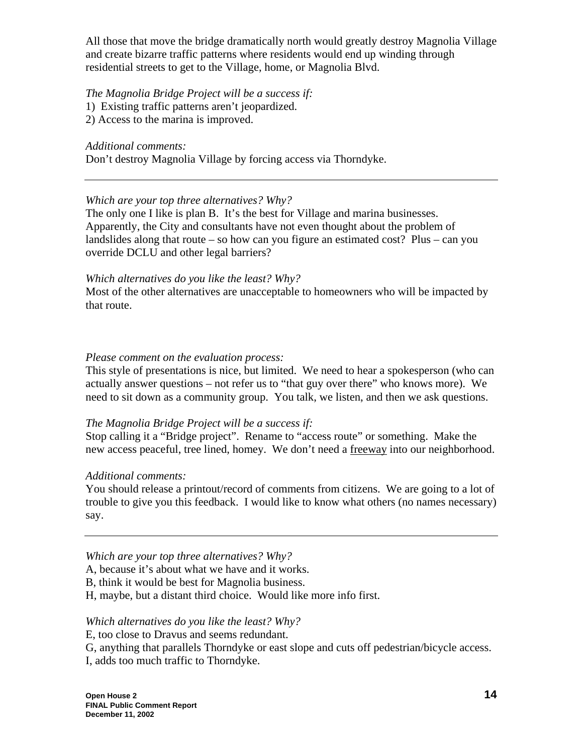All those that move the bridge dramatically north would greatly destroy Magnolia Village and create bizarre traffic patterns where residents would end up winding through residential streets to get to the Village, home, or Magnolia Blvd.

# *The Magnolia Bridge Project will be a success if:*

- 1) Existing traffic patterns aren't jeopardized.
- 2) Access to the marina is improved.

*Additional comments:* 

Don't destroy Magnolia Village by forcing access via Thorndyke.

# *Which are your top three alternatives? Why?*

The only one I like is plan B. It's the best for Village and marina businesses. Apparently, the City and consultants have not even thought about the problem of landslides along that route – so how can you figure an estimated cost? Plus – can you override DCLU and other legal barriers?

# *Which alternatives do you like the least? Why?*

Most of the other alternatives are unacceptable to homeowners who will be impacted by that route.

# *Please comment on the evaluation process:*

This style of presentations is nice, but limited. We need to hear a spokesperson (who can actually answer questions – not refer us to "that guy over there" who knows more). We need to sit down as a community group. You talk, we listen, and then we ask questions.

# *The Magnolia Bridge Project will be a success if:*

Stop calling it a "Bridge project". Rename to "access route" or something. Make the new access peaceful, tree lined, homey. We don't need a freeway into our neighborhood.

# *Additional comments:*

You should release a printout/record of comments from citizens. We are going to a lot of trouble to give you this feedback. I would like to know what others (no names necessary) say.

# *Which are your top three alternatives? Why?*

A, because it's about what we have and it works.

B, think it would be best for Magnolia business.

H, maybe, but a distant third choice. Would like more info first.

# *Which alternatives do you like the least? Why?*

E, too close to Dravus and seems redundant.

G, anything that parallels Thorndyke or east slope and cuts off pedestrian/bicycle access.

I, adds too much traffic to Thorndyke.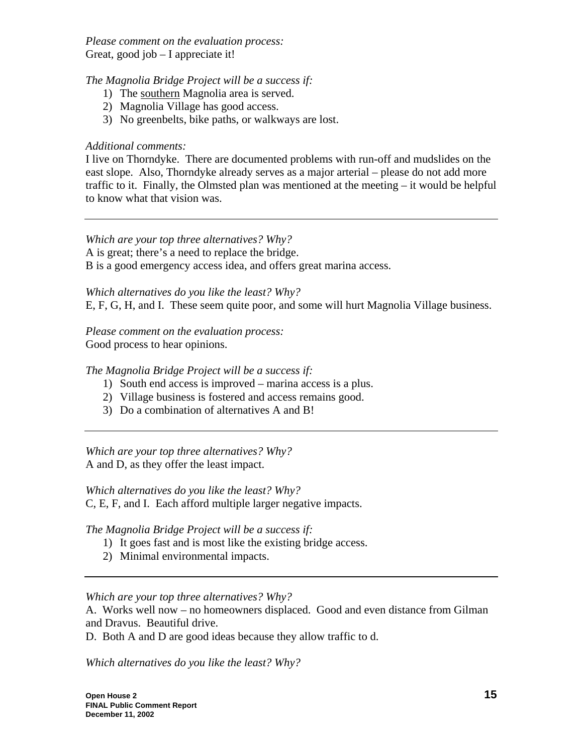*Please comment on the evaluation process:*  Great, good job – I appreciate it!

*The Magnolia Bridge Project will be a success if:* 

- 1) The southern Magnolia area is served.
- 2) Magnolia Village has good access.
- 3) No greenbelts, bike paths, or walkways are lost.

# *Additional comments:*

I live on Thorndyke. There are documented problems with run-off and mudslides on the east slope. Also, Thorndyke already serves as a major arterial – please do not add more traffic to it. Finally, the Olmsted plan was mentioned at the meeting – it would be helpful to know what that vision was.

*Which are your top three alternatives? Why?* 

A is great; there's a need to replace the bridge.

B is a good emergency access idea, and offers great marina access.

*Which alternatives do you like the least? Why?*

E, F, G, H, and I. These seem quite poor, and some will hurt Magnolia Village business.

*Please comment on the evaluation process:*  Good process to hear opinions.

*The Magnolia Bridge Project will be a success if:* 

- 1) South end access is improved marina access is a plus.
- 2) Village business is fostered and access remains good.
- 3) Do a combination of alternatives A and B!

*Which are your top three alternatives? Why?*  A and D, as they offer the least impact.

*Which alternatives do you like the least? Why?*

C, E, F, and I. Each afford multiple larger negative impacts.

*The Magnolia Bridge Project will be a success if:* 

- 1) It goes fast and is most like the existing bridge access.
- 2) Minimal environmental impacts.

*Which are your top three alternatives? Why?* 

A. Works well now – no homeowners displaced. Good and even distance from Gilman and Dravus. Beautiful drive.

D. Both A and D are good ideas because they allow traffic to d.

*Which alternatives do you like the least? Why?*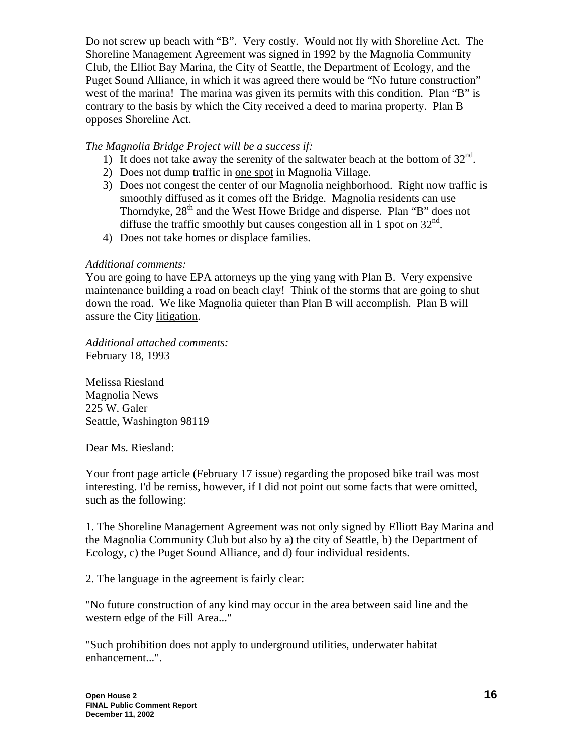Do not screw up beach with "B". Very costly. Would not fly with Shoreline Act. The Shoreline Management Agreement was signed in 1992 by the Magnolia Community Club, the Elliot Bay Marina, the City of Seattle, the Department of Ecology, and the Puget Sound Alliance, in which it was agreed there would be "No future construction" west of the marina! The marina was given its permits with this condition. Plan "B" is contrary to the basis by which the City received a deed to marina property. Plan B opposes Shoreline Act.

# *The Magnolia Bridge Project will be a success if:*

- 1) It does not take away the serenity of the saltwater beach at the bottom of  $32<sup>nd</sup>$ .
- 2) Does not dump traffic in one spot in Magnolia Village.
- 3) Does not congest the center of our Magnolia neighborhood. Right now traffic is smoothly diffused as it comes off the Bridge. Magnolia residents can use Thorndyke,  $28<sup>th</sup>$  and the West Howe Bridge and disperse. Plan "B" does not diffuse the traffic smoothly but causes congestion all in 1 spot on  $32<sup>nd</sup>$ .
- 4) Does not take homes or displace families.

# *Additional comments:*

You are going to have EPA attorneys up the ying yang with Plan B. Very expensive maintenance building a road on beach clay! Think of the storms that are going to shut down the road. We like Magnolia quieter than Plan B will accomplish. Plan B will assure the City litigation.

*Additional attached comments:*  February 18, 1993

Melissa Riesland Magnolia News 225 W. Galer Seattle, Washington 98119

Dear Ms. Riesland:

Your front page article (February 17 issue) regarding the proposed bike trail was most interesting. I'd be remiss, however, if I did not point out some facts that were omitted, such as the following:

1. The Shoreline Management Agreement was not only signed by Elliott Bay Marina and the Magnolia Community Club but also by a) the city of Seattle, b) the Department of Ecology, c) the Puget Sound Alliance, and d) four individual residents.

2. The language in the agreement is fairly clear:

"No future construction of any kind may occur in the area between said line and the western edge of the Fill Area..."

"Such prohibition does not apply to underground utilities, underwater habitat enhancement...".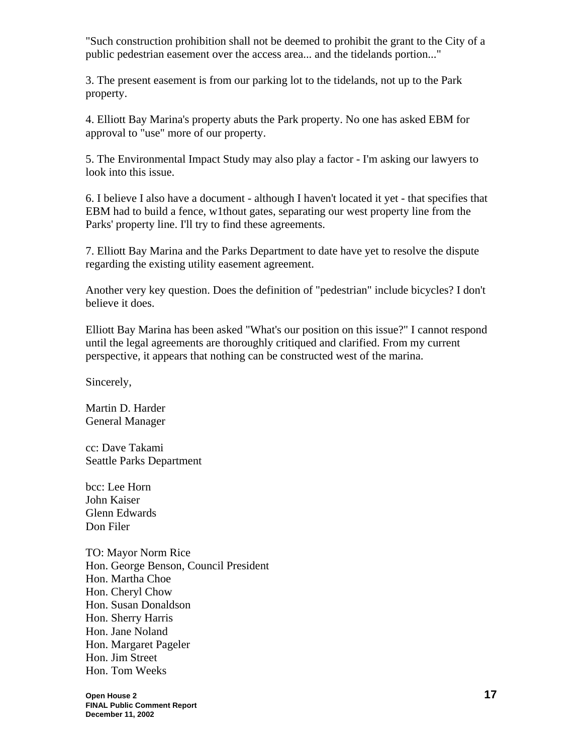"Such construction prohibition shall not be deemed to prohibit the grant to the City of a public pedestrian easement over the access area... and the tidelands portion..."

3. The present easement is from our parking lot to the tidelands, not up to the Park property.

4. Elliott Bay Marina's property abuts the Park property. No one has asked EBM for approval to "use" more of our property.

5. The Environmental Impact Study may also play a factor - I'm asking our lawyers to look into this issue.

6. I believe I also have a document - although I haven't located it yet - that specifies that EBM had to build a fence, w1thout gates, separating our west property line from the Parks' property line. I'll try to find these agreements.

7. Elliott Bay Marina and the Parks Department to date have yet to resolve the dispute regarding the existing utility easement agreement.

Another very key question. Does the definition of "pedestrian" include bicycles? I don't believe it does.

Elliott Bay Marina has been asked "What's our position on this issue?" I cannot respond until the legal agreements are thoroughly critiqued and clarified. From my current perspective, it appears that nothing can be constructed west of the marina.

Sincerely,

Martin D. Harder General Manager

cc: Dave Takami Seattle Parks Department

bcc: Lee Horn John Kaiser Glenn Edwards Don Filer

TO: Mayor Norm Rice Hon. George Benson, Council President Hon. Martha Choe Hon. Cheryl Chow Hon. Susan Donaldson Hon. Sherry Harris Hon. Jane Noland Hon. Margaret Pageler Hon. Jim Street Hon. Tom Weeks

**Open House 2 17 FINAL Public Comment Report December 11, 2002**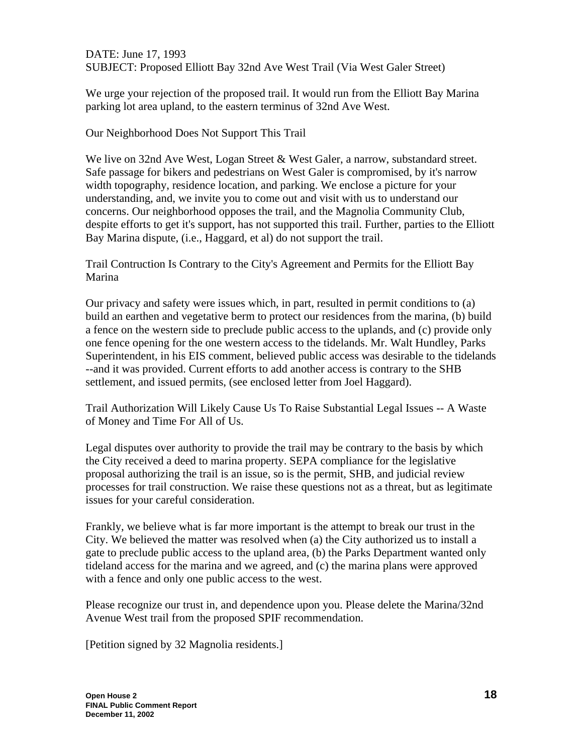DATE: June 17, 1993 SUBJECT: Proposed Elliott Bay 32nd Ave West Trail (Via West Galer Street)

We urge your rejection of the proposed trail. It would run from the Elliott Bay Marina parking lot area upland, to the eastern terminus of 32nd Ave West.

Our Neighborhood Does Not Support This Trail

We live on 32nd Ave West, Logan Street & West Galer, a narrow, substandard street. Safe passage for bikers and pedestrians on West Galer is compromised, by it's narrow width topography, residence location, and parking. We enclose a picture for your understanding, and, we invite you to come out and visit with us to understand our concerns. Our neighborhood opposes the trail, and the Magnolia Community Club, despite efforts to get it's support, has not supported this trail. Further, parties to the Elliott Bay Marina dispute, (i.e., Haggard, et al) do not support the trail.

Trail Contruction Is Contrary to the City's Agreement and Permits for the Elliott Bay Marina

Our privacy and safety were issues which, in part, resulted in permit conditions to (a) build an earthen and vegetative berm to protect our residences from the marina, (b) build a fence on the western side to preclude public access to the uplands, and (c) provide only one fence opening for the one western access to the tidelands. Mr. Walt Hundley, Parks Superintendent, in his EIS comment, believed public access was desirable to the tidelands --and it was provided. Current efforts to add another access is contrary to the SHB settlement, and issued permits, (see enclosed letter from Joel Haggard).

Trail Authorization Will Likely Cause Us To Raise Substantial Legal Issues -- A Waste of Money and Time For All of Us.

Legal disputes over authority to provide the trail may be contrary to the basis by which the City received a deed to marina property. SEPA compliance for the legislative proposal authorizing the trail is an issue, so is the permit, SHB, and judicial review processes for trail construction. We raise these questions not as a threat, but as legitimate issues for your careful consideration.

Frankly, we believe what is far more important is the attempt to break our trust in the City. We believed the matter was resolved when (a) the City authorized us to install a gate to preclude public access to the upland area, (b) the Parks Department wanted only tideland access for the marina and we agreed, and (c) the marina plans were approved with a fence and only one public access to the west.

Please recognize our trust in, and dependence upon you. Please delete the Marina/32nd Avenue West trail from the proposed SPIF recommendation.

[Petition signed by 32 Magnolia residents.]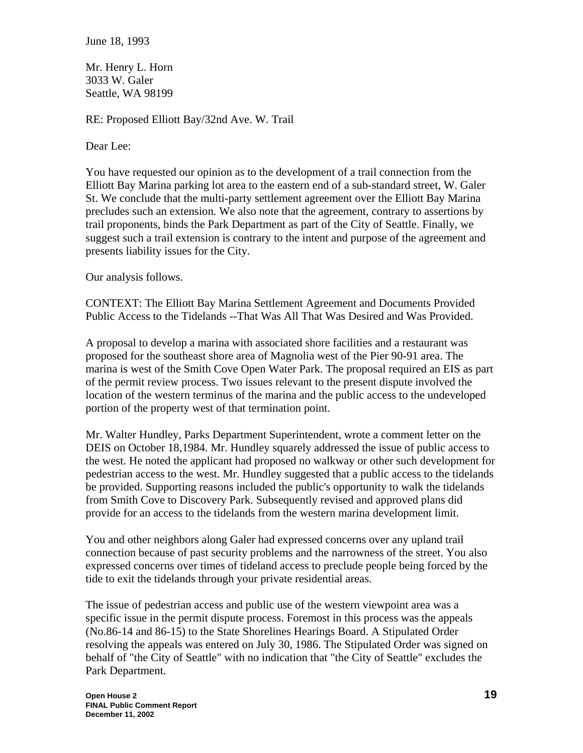June 18, 1993

Mr. Henry L. Horn 3033 W. Galer Seattle, WA 98199

RE: Proposed Elliott Bay/32nd Ave. W. Trail

Dear Lee:

You have requested our opinion as to the development of a trail connection from the Elliott Bay Marina parking lot area to the eastern end of a sub-standard street, W. Galer St. We conclude that the multi-party settlement agreement over the Elliott Bay Marina precludes such an extension. We also note that the agreement, contrary to assertions by trail proponents, binds the Park Department as part of the City of Seattle. Finally, we suggest such a trail extension is contrary to the intent and purpose of the agreement and presents liability issues for the City.

Our analysis follows.

CONTEXT: The Elliott Bay Marina Settlement Agreement and Documents Provided Public Access to the Tidelands --That Was All That Was Desired and Was Provided.

A proposal to develop a marina with associated shore facilities and a restaurant was proposed for the southeast shore area of Magnolia west of the Pier 90-91 area. The marina is west of the Smith Cove Open Water Park. The proposal required an EIS as part of the permit review process. Two issues relevant to the present dispute involved the location of the western terminus of the marina and the public access to the undeveloped portion of the property west of that termination point.

Mr. Walter Hundley, Parks Department Superintendent, wrote a comment letter on the DEIS on October 18,1984. Mr. Hundley squarely addressed the issue of public access to the west. He noted the applicant had proposed no walkway or other such development for pedestrian access to the west. Mr. Hundley suggested that a public access to the tidelands be provided. Supporting reasons included the public's opportunity to walk the tidelands from Smith Cove to Discovery Park. Subsequently revised and approved plans did provide for an access to the tidelands from the western marina development limit.

You and other neighbors along Galer had expressed concerns over any upland trail connection because of past security problems and the narrowness of the street. You also expressed concerns over times of tideland access to preclude people being forced by the tide to exit the tidelands through your private residential areas.

The issue of pedestrian access and public use of the western viewpoint area was a specific issue in the permit dispute process. Foremost in this process was the appeals (No.86-14 and 86-15) to the State Shorelines Hearings Board. A Stipulated Order resolving the appeals was entered on July 30, 1986. The Stipulated Order was signed on behalf of "the City of Seattle" with no indication that "the City of Seattle" excludes the Park Department.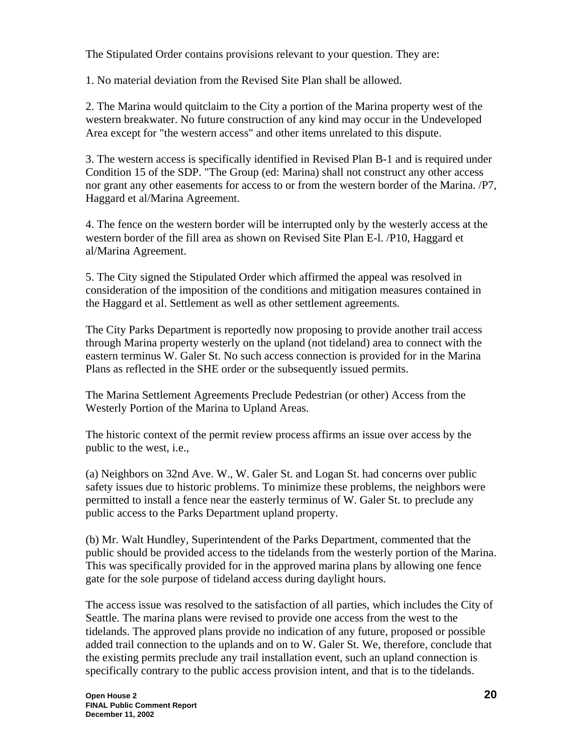The Stipulated Order contains provisions relevant to your question. They are:

1. No material deviation from the Revised Site Plan shall be allowed.

2. The Marina would quitclaim to the City a portion of the Marina property west of the western breakwater. No future construction of any kind may occur in the Undeveloped Area except for "the western access" and other items unrelated to this dispute.

3. The western access is specifically identified in Revised Plan B-1 and is required under Condition 15 of the SDP. "The Group (ed: Marina) shall not construct any other access nor grant any other easements for access to or from the western border of the Marina. /P7, Haggard et al/Marina Agreement.

4. The fence on the western border will be interrupted only by the westerly access at the western border of the fill area as shown on Revised Site Plan E-l. /P10, Haggard et al/Marina Agreement.

5. The City signed the Stipulated Order which affirmed the appeal was resolved in consideration of the imposition of the conditions and mitigation measures contained in the Haggard et al. Settlement as well as other settlement agreements.

The City Parks Department is reportedly now proposing to provide another trail access through Marina property westerly on the upland (not tideland) area to connect with the eastern terminus W. Galer St. No such access connection is provided for in the Marina Plans as reflected in the SHE order or the subsequently issued permits.

The Marina Settlement Agreements Preclude Pedestrian (or other) Access from the Westerly Portion of the Marina to Upland Areas.

The historic context of the permit review process affirms an issue over access by the public to the west, i.e.,

(a) Neighbors on 32nd Ave. W., W. Galer St. and Logan St. had concerns over public safety issues due to historic problems. To minimize these problems, the neighbors were permitted to install a fence near the easterly terminus of W. Galer St. to preclude any public access to the Parks Department upland property.

(b) Mr. Walt Hundley, Superintendent of the Parks Department, commented that the public should be provided access to the tidelands from the westerly portion of the Marina. This was specifically provided for in the approved marina plans by allowing one fence gate for the sole purpose of tideland access during daylight hours.

The access issue was resolved to the satisfaction of all parties, which includes the City of Seattle. The marina plans were revised to provide one access from the west to the tidelands. The approved plans provide no indication of any future, proposed or possible added trail connection to the uplands and on to W. Galer St. We, therefore, conclude that the existing permits preclude any trail installation event, such an upland connection is specifically contrary to the public access provision intent, and that is to the tidelands.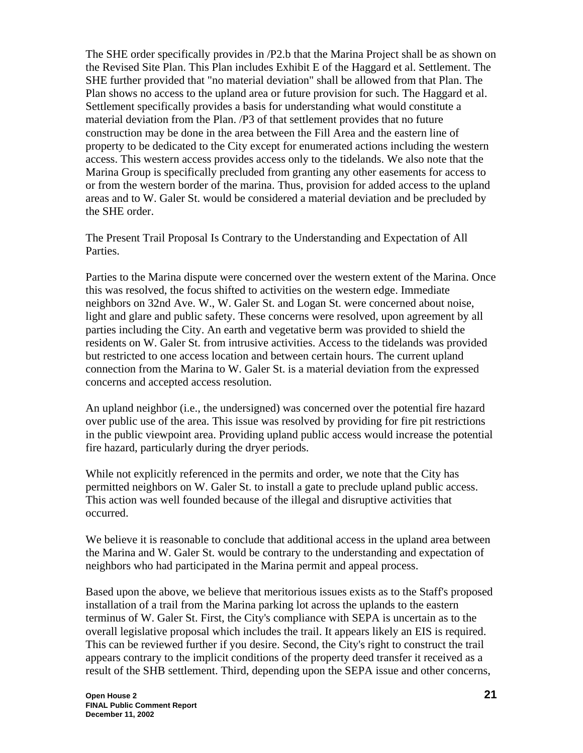The SHE order specifically provides in /P2.b that the Marina Project shall be as shown on the Revised Site Plan. This Plan includes Exhibit E of the Haggard et al. Settlement. The SHE further provided that "no material deviation" shall be allowed from that Plan. The Plan shows no access to the upland area or future provision for such. The Haggard et al. Settlement specifically provides a basis for understanding what would constitute a material deviation from the Plan. /P3 of that settlement provides that no future construction may be done in the area between the Fill Area and the eastern line of property to be dedicated to the City except for enumerated actions including the western access. This western access provides access only to the tidelands. We also note that the Marina Group is specifically precluded from granting any other easements for access to or from the western border of the marina. Thus, provision for added access to the upland areas and to W. Galer St. would be considered a material deviation and be precluded by the SHE order.

The Present Trail Proposal Is Contrary to the Understanding and Expectation of All Parties.

Parties to the Marina dispute were concerned over the western extent of the Marina. Once this was resolved, the focus shifted to activities on the western edge. Immediate neighbors on 32nd Ave. W., W. Galer St. and Logan St. were concerned about noise, light and glare and public safety. These concerns were resolved, upon agreement by all parties including the City. An earth and vegetative berm was provided to shield the residents on W. Galer St. from intrusive activities. Access to the tidelands was provided but restricted to one access location and between certain hours. The current upland connection from the Marina to W. Galer St. is a material deviation from the expressed concerns and accepted access resolution.

An upland neighbor (i.e., the undersigned) was concerned over the potential fire hazard over public use of the area. This issue was resolved by providing for fire pit restrictions in the public viewpoint area. Providing upland public access would increase the potential fire hazard, particularly during the dryer periods.

While not explicitly referenced in the permits and order, we note that the City has permitted neighbors on W. Galer St. to install a gate to preclude upland public access. This action was well founded because of the illegal and disruptive activities that occurred.

We believe it is reasonable to conclude that additional access in the upland area between the Marina and W. Galer St. would be contrary to the understanding and expectation of neighbors who had participated in the Marina permit and appeal process.

Based upon the above, we believe that meritorious issues exists as to the Staff's proposed installation of a trail from the Marina parking lot across the uplands to the eastern terminus of W. Galer St. First, the City's compliance with SEPA is uncertain as to the overall legislative proposal which includes the trail. It appears likely an EIS is required. This can be reviewed further if you desire. Second, the City's right to construct the trail appears contrary to the implicit conditions of the property deed transfer it received as a result of the SHB settlement. Third, depending upon the SEPA issue and other concerns,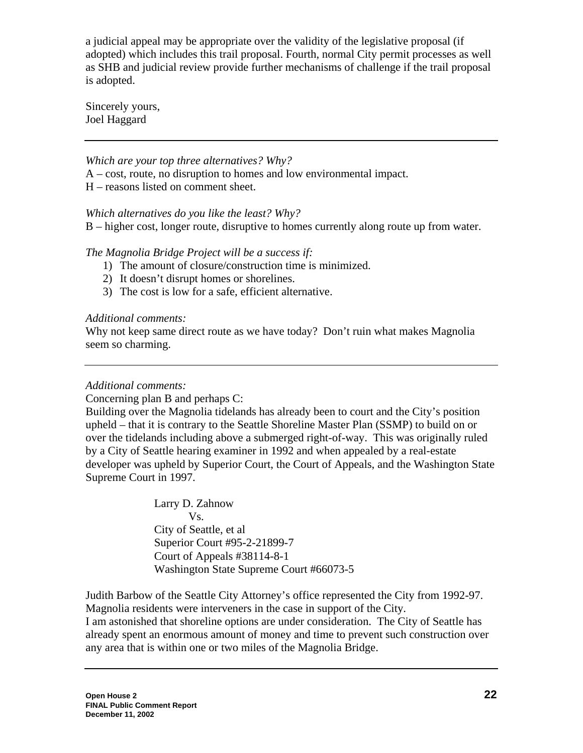a judicial appeal may be appropriate over the validity of the legislative proposal (if adopted) which includes this trail proposal. Fourth, normal City permit processes as well as SHB and judicial review provide further mechanisms of challenge if the trail proposal is adopted.

Sincerely yours, Joel Haggard

*Which are your top three alternatives? Why?* 

A – cost, route, no disruption to homes and low environmental impact.

H – reasons listed on comment sheet.

### *Which alternatives do you like the least? Why?*

B – higher cost, longer route, disruptive to homes currently along route up from water.

### *The Magnolia Bridge Project will be a success if:*

- 1) The amount of closure/construction time is minimized.
- 2) It doesn't disrupt homes or shorelines.
- 3) The cost is low for a safe, efficient alternative.

#### *Additional comments:*

Why not keep same direct route as we have today? Don't ruin what makes Magnolia seem so charming.

### *Additional comments:*

Concerning plan B and perhaps C:

Building over the Magnolia tidelands has already been to court and the City's position upheld – that it is contrary to the Seattle Shoreline Master Plan (SSMP) to build on or over the tidelands including above a submerged right-of-way. This was originally ruled by a City of Seattle hearing examiner in 1992 and when appealed by a real-estate developer was upheld by Superior Court, the Court of Appeals, and the Washington State Supreme Court in 1997.

> Larry D. Zahnow Vs. City of Seattle, et al Superior Court #95-2-21899-7 Court of Appeals #38114-8-1 Washington State Supreme Court #66073-5

Judith Barbow of the Seattle City Attorney's office represented the City from 1992-97. Magnolia residents were interveners in the case in support of the City. I am astonished that shoreline options are under consideration. The City of Seattle has already spent an enormous amount of money and time to prevent such construction over any area that is within one or two miles of the Magnolia Bridge.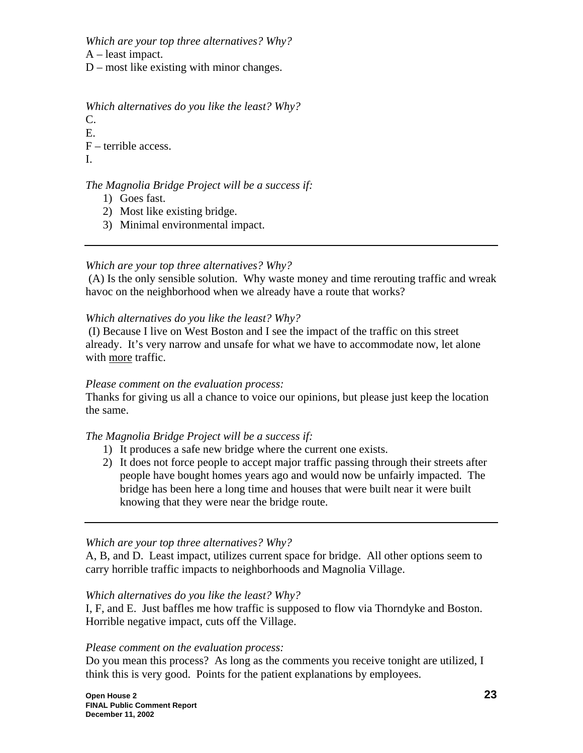*Which are your top three alternatives? Why?* 

A – least impact.

D – most like existing with minor changes.

*Which alternatives do you like the least? Why?*

C. E.

F – terrible access.

I.

# *The Magnolia Bridge Project will be a success if:*

- 1) Goes fast.
- 2) Most like existing bridge.
- 3) Minimal environmental impact.

# *Which are your top three alternatives? Why?*

 (A) Is the only sensible solution. Why waste money and time rerouting traffic and wreak havoc on the neighborhood when we already have a route that works?

# *Which alternatives do you like the least? Why?*

 (I) Because I live on West Boston and I see the impact of the traffic on this street already. It's very narrow and unsafe for what we have to accommodate now, let alone with more traffic.

### *Please comment on the evaluation process:*

Thanks for giving us all a chance to voice our opinions, but please just keep the location the same.

# *The Magnolia Bridge Project will be a success if:*

- 1) It produces a safe new bridge where the current one exists.
- 2) It does not force people to accept major traffic passing through their streets after people have bought homes years ago and would now be unfairly impacted. The bridge has been here a long time and houses that were built near it were built knowing that they were near the bridge route.

# *Which are your top three alternatives? Why?*

A, B, and D. Least impact, utilizes current space for bridge. All other options seem to carry horrible traffic impacts to neighborhoods and Magnolia Village.

### *Which alternatives do you like the least? Why?*

I, F, and E. Just baffles me how traffic is supposed to flow via Thorndyke and Boston. Horrible negative impact, cuts off the Village.

### *Please comment on the evaluation process:*

Do you mean this process? As long as the comments you receive tonight are utilized, I think this is very good. Points for the patient explanations by employees.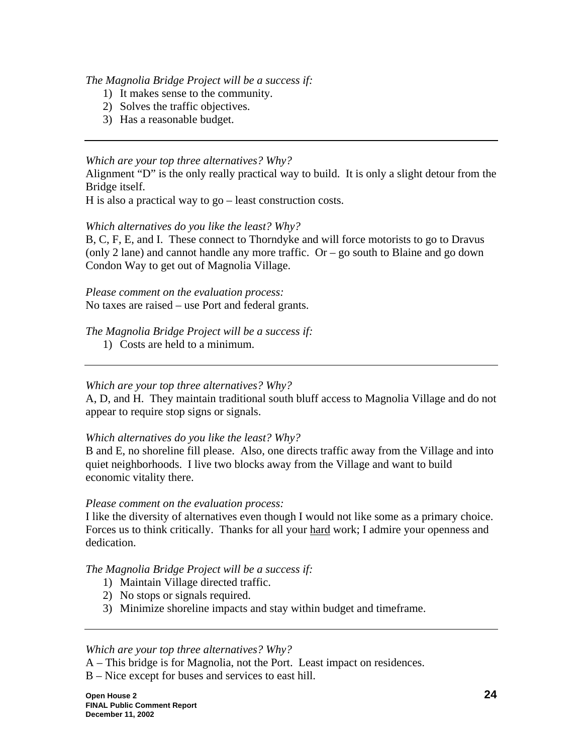### *The Magnolia Bridge Project will be a success if:*

- 1) It makes sense to the community.
- 2) Solves the traffic objectives.
- 3) Has a reasonable budget.

#### *Which are your top three alternatives? Why?*

Alignment "D" is the only really practical way to build. It is only a slight detour from the Bridge itself.

H is also a practical way to go – least construction costs.

#### *Which alternatives do you like the least? Why?*

B, C, F, E, and I. These connect to Thorndyke and will force motorists to go to Dravus (only 2 lane) and cannot handle any more traffic.  $Or - go$  south to Blaine and go down Condon Way to get out of Magnolia Village.

*Please comment on the evaluation process:*  No taxes are raised – use Port and federal grants.

### *The Magnolia Bridge Project will be a success if:*

1) Costs are held to a minimum.

### *Which are your top three alternatives? Why?*

A, D, and H. They maintain traditional south bluff access to Magnolia Village and do not appear to require stop signs or signals.

### *Which alternatives do you like the least? Why?*

B and E, no shoreline fill please. Also, one directs traffic away from the Village and into quiet neighborhoods. I live two blocks away from the Village and want to build economic vitality there.

#### *Please comment on the evaluation process:*

I like the diversity of alternatives even though I would not like some as a primary choice. Forces us to think critically. Thanks for all your hard work; I admire your openness and dedication.

### *The Magnolia Bridge Project will be a success if:*

- 1) Maintain Village directed traffic.
- 2) No stops or signals required.
- 3) Minimize shoreline impacts and stay within budget and timeframe.

#### *Which are your top three alternatives? Why?*

- A This bridge is for Magnolia, not the Port. Least impact on residences.
- B Nice except for buses and services to east hill.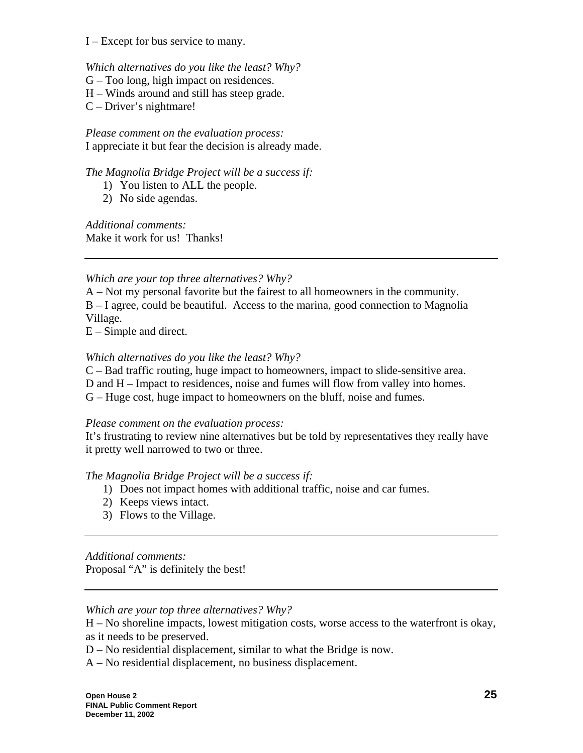I – Except for bus service to many.

#### *Which alternatives do you like the least? Why?*

- G Too long, high impact on residences.
- H Winds around and still has steep grade.
- C Driver's nightmare!

*Please comment on the evaluation process:*  I appreciate it but fear the decision is already made.

*The Magnolia Bridge Project will be a success if:* 

- 1) You listen to ALL the people.
- 2) No side agendas.

*Additional comments:*  Make it work for us! Thanks!

### *Which are your top three alternatives? Why?*

- A Not my personal favorite but the fairest to all homeowners in the community.
- B I agree, could be beautiful. Access to the marina, good connection to Magnolia Village.

E – Simple and direct.

#### *Which alternatives do you like the least? Why?*

C – Bad traffic routing, huge impact to homeowners, impact to slide-sensitive area.

D and H – Impact to residences, noise and fumes will flow from valley into homes.

G – Huge cost, huge impact to homeowners on the bluff, noise and fumes.

### *Please comment on the evaluation process:*

It's frustrating to review nine alternatives but be told by representatives they really have it pretty well narrowed to two or three.

*The Magnolia Bridge Project will be a success if:* 

- 1) Does not impact homes with additional traffic, noise and car fumes.
- 2) Keeps views intact.
- 3) Flows to the Village.

*Additional comments:*

Proposal "A" is definitely the best!

#### *Which are your top three alternatives? Why?*

H – No shoreline impacts, lowest mitigation costs, worse access to the waterfront is okay, as it needs to be preserved.

D – No residential displacement, similar to what the Bridge is now.

A – No residential displacement, no business displacement.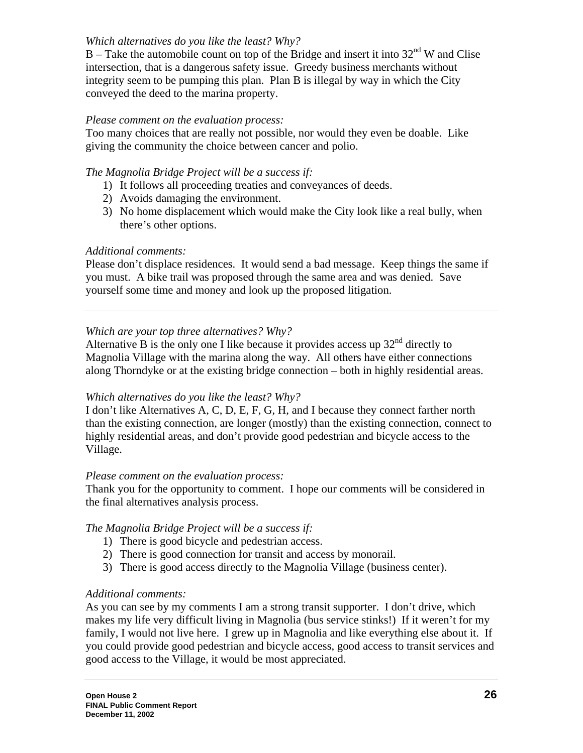# *Which alternatives do you like the least? Why?*

 $B -$  Take the automobile count on top of the Bridge and insert it into 32<sup>nd</sup> W and Clise intersection, that is a dangerous safety issue. Greedy business merchants without integrity seem to be pumping this plan. Plan B is illegal by way in which the City conveyed the deed to the marina property.

# *Please comment on the evaluation process:*

Too many choices that are really not possible, nor would they even be doable. Like giving the community the choice between cancer and polio.

# *The Magnolia Bridge Project will be a success if:*

- 1) It follows all proceeding treaties and conveyances of deeds.
- 2) Avoids damaging the environment.
- 3) No home displacement which would make the City look like a real bully, when there's other options.

# *Additional comments:*

Please don't displace residences. It would send a bad message. Keep things the same if you must. A bike trail was proposed through the same area and was denied. Save yourself some time and money and look up the proposed litigation.

# *Which are your top three alternatives? Why?*

Alternative B is the only one I like because it provides access up  $32<sup>nd</sup>$  directly to Magnolia Village with the marina along the way. All others have either connections along Thorndyke or at the existing bridge connection – both in highly residential areas.

# *Which alternatives do you like the least? Why?*

I don't like Alternatives A, C, D, E, F, G, H, and I because they connect farther north than the existing connection, are longer (mostly) than the existing connection, connect to highly residential areas, and don't provide good pedestrian and bicycle access to the Village.

# *Please comment on the evaluation process:*

Thank you for the opportunity to comment. I hope our comments will be considered in the final alternatives analysis process.

# *The Magnolia Bridge Project will be a success if:*

- 1) There is good bicycle and pedestrian access.
- 2) There is good connection for transit and access by monorail.
- 3) There is good access directly to the Magnolia Village (business center).

# *Additional comments:*

As you can see by my comments I am a strong transit supporter. I don't drive, which makes my life very difficult living in Magnolia (bus service stinks!) If it weren't for my family, I would not live here. I grew up in Magnolia and like everything else about it. If you could provide good pedestrian and bicycle access, good access to transit services and good access to the Village, it would be most appreciated.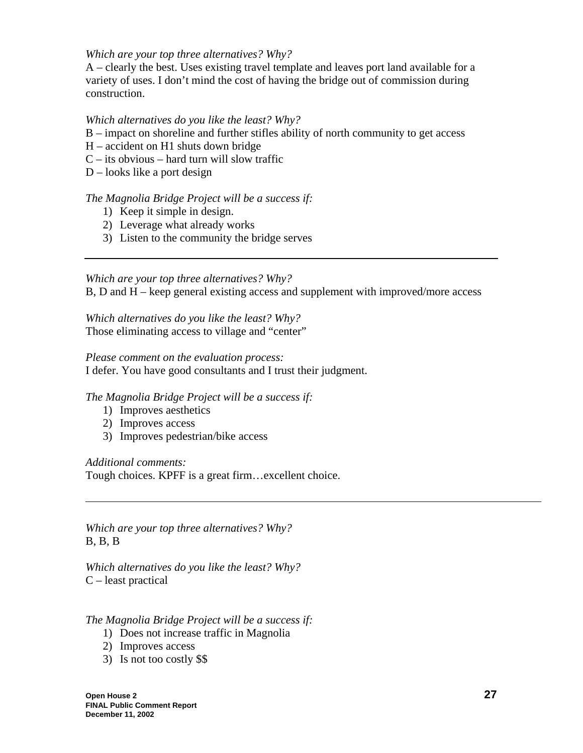### *Which are your top three alternatives? Why?*

A – clearly the best. Uses existing travel template and leaves port land available for a variety of uses. I don't mind the cost of having the bridge out of commission during construction.

# *Which alternatives do you like the least? Why?*

- B impact on shoreline and further stifles ability of north community to get access
- H accident on H1 shuts down bridge
- $C -$  its obvious hard turn will slow traffic
- D looks like a port design

# *The Magnolia Bridge Project will be a success if:*

- 1) Keep it simple in design.
- 2) Leverage what already works
- 3) Listen to the community the bridge serves

# *Which are your top three alternatives? Why?*

B, D and H – keep general existing access and supplement with improved/more access

*Which alternatives do you like the least? Why?* Those eliminating access to village and "center"

#### *Please comment on the evaluation process:*

I defer. You have good consultants and I trust their judgment.

### *The Magnolia Bridge Project will be a success if:*

- 1) Improves aesthetics
- 2) Improves access
- 3) Improves pedestrian/bike access

### *Additional comments:*

Tough choices. KPFF is a great firm…excellent choice.

*Which are your top three alternatives? Why?*  B, B, B

*Which alternatives do you like the least? Why?* C – least practical

# *The Magnolia Bridge Project will be a success if:*

- 1) Does not increase traffic in Magnolia
- 2) Improves access
- 3) Is not too costly \$\$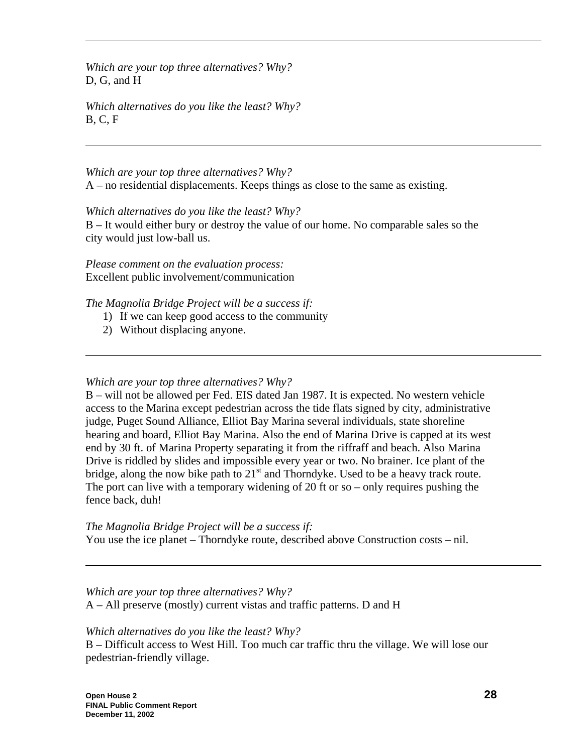*Which are your top three alternatives? Why?*  D, G, and H

*Which alternatives do you like the least? Why?* B, C, F

*Which are your top three alternatives? Why?*  A – no residential displacements. Keeps things as close to the same as existing.

*Which alternatives do you like the least? Why?* B – It would either bury or destroy the value of our home. No comparable sales so the city would just low-ball us.

*Please comment on the evaluation process:*  Excellent public involvement/communication

*The Magnolia Bridge Project will be a success if:* 

- 1) If we can keep good access to the community
- 2) Without displacing anyone.

*Which are your top three alternatives? Why?* 

B – will not be allowed per Fed. EIS dated Jan 1987. It is expected. No western vehicle access to the Marina except pedestrian across the tide flats signed by city, administrative judge, Puget Sound Alliance, Elliot Bay Marina several individuals, state shoreline hearing and board, Elliot Bay Marina. Also the end of Marina Drive is capped at its west end by 30 ft. of Marina Property separating it from the riffraff and beach. Also Marina Drive is riddled by slides and impossible every year or two. No brainer. Ice plant of the bridge, along the now bike path to  $21<sup>st</sup>$  and Thorndyke. Used to be a heavy track route. The port can live with a temporary widening of 20 ft or so – only requires pushing the fence back, duh!

*The Magnolia Bridge Project will be a success if:*  You use the ice planet – Thorndyke route, described above Construction costs – nil.

*Which are your top three alternatives? Why?*  A – All preserve (mostly) current vistas and traffic patterns. D and H

### *Which alternatives do you like the least? Why?*

B – Difficult access to West Hill. Too much car traffic thru the village. We will lose our pedestrian-friendly village.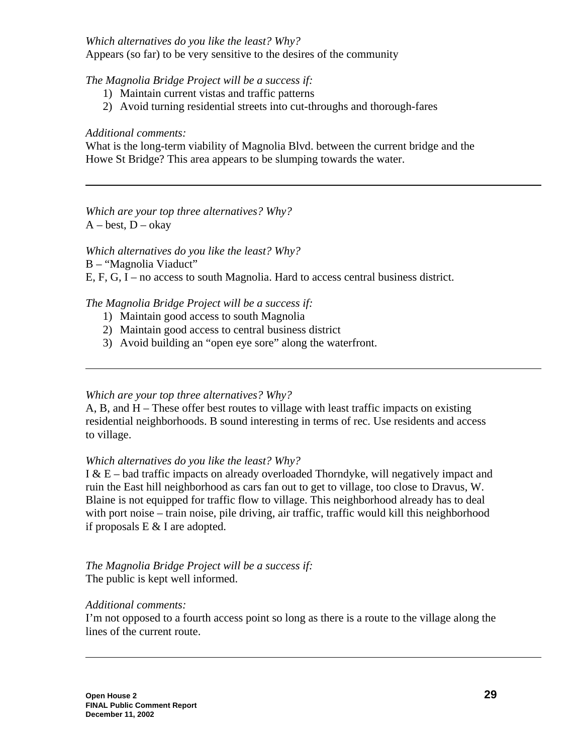*Which alternatives do you like the least? Why?* Appears (so far) to be very sensitive to the desires of the community

# *The Magnolia Bridge Project will be a success if:*

- 1) Maintain current vistas and traffic patterns
- 2) Avoid turning residential streets into cut-throughs and thorough-fares

### *Additional comments:*

What is the long-term viability of Magnolia Blvd. between the current bridge and the Howe St Bridge? This area appears to be slumping towards the water.

*Which are your top three alternatives? Why?*   $A - best$ ,  $D - okay$ 

*Which alternatives do you like the least? Why?*

B – "Magnolia Viaduct"

E, F, G, I – no access to south Magnolia. Hard to access central business district.

# *The Magnolia Bridge Project will be a success if:*

- 1) Maintain good access to south Magnolia
- 2) Maintain good access to central business district
- 3) Avoid building an "open eye sore" along the waterfront.

### *Which are your top three alternatives? Why?*

A, B, and H – These offer best routes to village with least traffic impacts on existing residential neighborhoods. B sound interesting in terms of rec. Use residents and access to village.

### *Which alternatives do you like the least? Why?*

I & E – bad traffic impacts on already overloaded Thorndyke, will negatively impact and ruin the East hill neighborhood as cars fan out to get to village, too close to Dravus, W. Blaine is not equipped for traffic flow to village. This neighborhood already has to deal with port noise – train noise, pile driving, air traffic, traffic would kill this neighborhood if proposals  $E \& I$  are adopted.

*The Magnolia Bridge Project will be a success if:*  The public is kept well informed.

### *Additional comments:*

I'm not opposed to a fourth access point so long as there is a route to the village along the lines of the current route.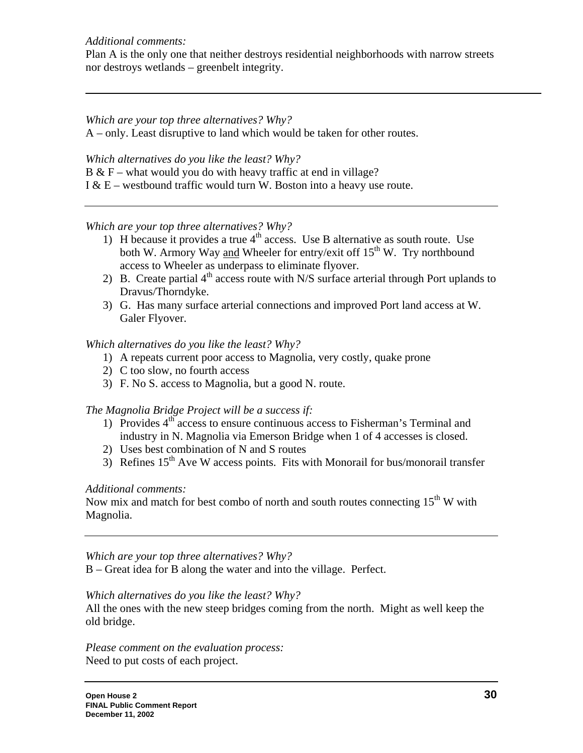#### *Additional comments:*

Plan A is the only one that neither destroys residential neighborhoods with narrow streets nor destroys wetlands – greenbelt integrity.

# *Which are your top three alternatives? Why?*

A – only. Least disruptive to land which would be taken for other routes.

### *Which alternatives do you like the least? Why?*

 $B & F$  – what would you do with heavy traffic at end in village?

I  $& E$  – westbound traffic would turn W. Boston into a heavy use route.

# *Which are your top three alternatives? Why?*

- 1) H because it provides a true  $4<sup>th</sup>$  access. Use B alternative as south route. Use both W. Armory Way and Wheeler for entry/exit of  $15<sup>th</sup>$  W. Try northbound access to Wheeler as underpass to eliminate flyover.
- 2) B. Create partial  $4<sup>th</sup>$  access route with N/S surface arterial through Port uplands to Dravus/Thorndyke.
- 3) G. Has many surface arterial connections and improved Port land access at W. Galer Flyover.

# *Which alternatives do you like the least? Why?*

- 1) A repeats current poor access to Magnolia, very costly, quake prone
- 2) C too slow, no fourth access
- 3) F. No S. access to Magnolia, but a good N. route.

# *The Magnolia Bridge Project will be a success if:*

- 1) Provides  $4<sup>th</sup>$  access to ensure continuous access to Fisherman's Terminal and industry in N. Magnolia via Emerson Bridge when 1 of 4 accesses is closed.
- 2) Uses best combination of N and S routes
- 3) Refines  $15<sup>th</sup>$  Ave W access points. Fits with Monorail for bus/monorail transfer

# *Additional comments:*

Now mix and match for best combo of north and south routes connecting  $15<sup>th</sup>$  W with Magnolia.

### *Which are your top three alternatives? Why?*

B – Great idea for B along the water and into the village. Perfect.

### *Which alternatives do you like the least? Why?*

All the ones with the new steep bridges coming from the north. Might as well keep the old bridge.

*Please comment on the evaluation process:*  Need to put costs of each project.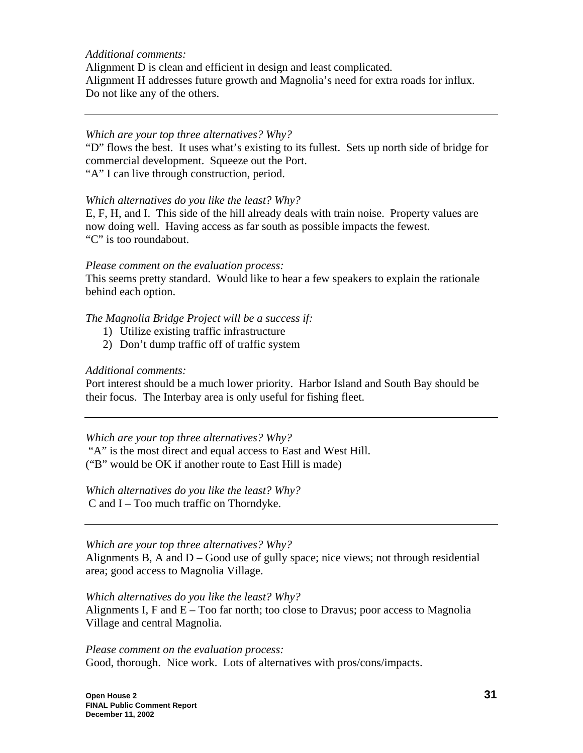#### *Additional comments:*

Alignment D is clean and efficient in design and least complicated. Alignment H addresses future growth and Magnolia's need for extra roads for influx. Do not like any of the others.

#### *Which are your top three alternatives? Why?*

"D" flows the best. It uses what's existing to its fullest. Sets up north side of bridge for commercial development. Squeeze out the Port.

"A" I can live through construction, period.

### *Which alternatives do you like the least? Why?*

E, F, H, and I. This side of the hill already deals with train noise. Property values are now doing well. Having access as far south as possible impacts the fewest. "C" is too roundabout.

*Please comment on the evaluation process:* 

This seems pretty standard. Would like to hear a few speakers to explain the rationale behind each option.

### *The Magnolia Bridge Project will be a success if:*

- 1) Utilize existing traffic infrastructure
- 2) Don't dump traffic off of traffic system

#### *Additional comments:*

Port interest should be a much lower priority. Harbor Island and South Bay should be their focus. The Interbay area is only useful for fishing fleet.

### *Which are your top three alternatives? Why?*

"A" is the most direct and equal access to East and West Hill.

("B" would be OK if another route to East Hill is made)

*Which alternatives do you like the least? Why?* C and I – Too much traffic on Thorndyke.

### *Which are your top three alternatives? Why?*

Alignments B, A and  $D - Good$  use of gully space; nice views; not through residential area; good access to Magnolia Village.

*Which alternatives do you like the least? Why?*

Alignments I,  $F$  and  $E - Too$  far north; too close to Dravus; poor access to Magnolia Village and central Magnolia.

*Please comment on the evaluation process:*  Good, thorough. Nice work. Lots of alternatives with pros/cons/impacts.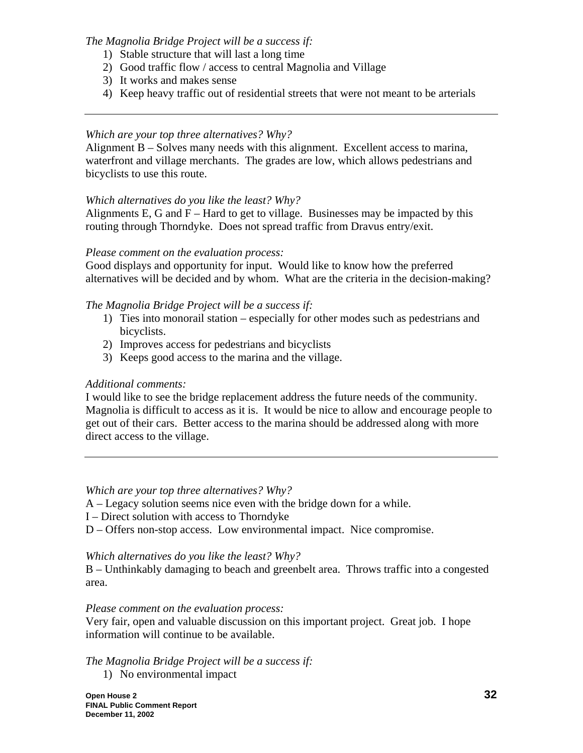*The Magnolia Bridge Project will be a success if:* 

- 1) Stable structure that will last a long time
- 2) Good traffic flow / access to central Magnolia and Village
- 3) It works and makes sense
- 4) Keep heavy traffic out of residential streets that were not meant to be arterials

### *Which are your top three alternatives? Why?*

Alignment B – Solves many needs with this alignment. Excellent access to marina, waterfront and village merchants. The grades are low, which allows pedestrians and bicyclists to use this route.

# *Which alternatives do you like the least? Why?*

Alignments E, G and  $F - Hard$  to get to village. Businesses may be impacted by this routing through Thorndyke. Does not spread traffic from Dravus entry/exit.

### *Please comment on the evaluation process:*

Good displays and opportunity for input. Would like to know how the preferred alternatives will be decided and by whom. What are the criteria in the decision-making?

# *The Magnolia Bridge Project will be a success if:*

- 1) Ties into monorail station especially for other modes such as pedestrians and bicyclists.
- 2) Improves access for pedestrians and bicyclists
- 3) Keeps good access to the marina and the village.

### *Additional comments:*

I would like to see the bridge replacement address the future needs of the community. Magnolia is difficult to access as it is. It would be nice to allow and encourage people to get out of their cars. Better access to the marina should be addressed along with more direct access to the village.

*Which are your top three alternatives? Why?* 

A – Legacy solution seems nice even with the bridge down for a while.

- I Direct solution with access to Thorndyke
- D Offers non-stop access. Low environmental impact. Nice compromise.

### *Which alternatives do you like the least? Why?*

B – Unthinkably damaging to beach and greenbelt area. Throws traffic into a congested area.

### *Please comment on the evaluation process:*

Very fair, open and valuable discussion on this important project. Great job. I hope information will continue to be available.

*The Magnolia Bridge Project will be a success if:*  1) No environmental impact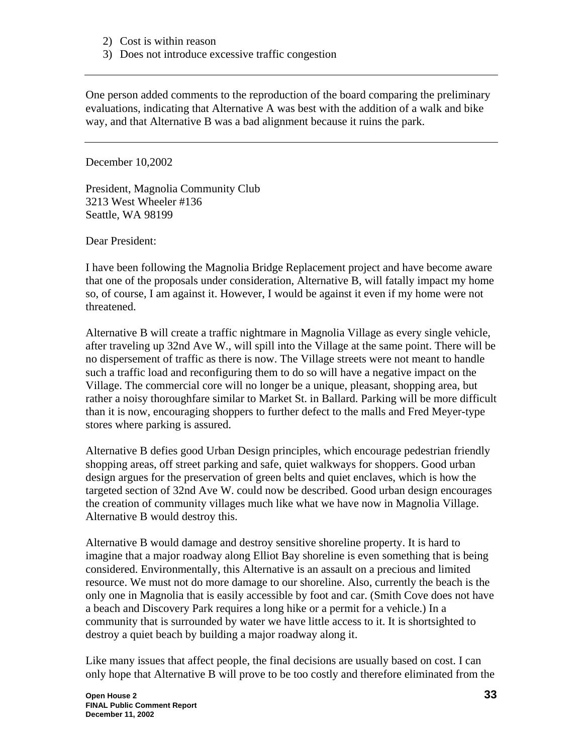- 2) Cost is within reason
- 3) Does not introduce excessive traffic congestion

One person added comments to the reproduction of the board comparing the preliminary evaluations, indicating that Alternative A was best with the addition of a walk and bike way, and that Alternative B was a bad alignment because it ruins the park.

December 10,2002

President, Magnolia Community Club 3213 West Wheeler #136 Seattle, WA 98199

Dear President:

I have been following the Magnolia Bridge Replacement project and have become aware that one of the proposals under consideration, Alternative B, will fatally impact my home so, of course, I am against it. However, I would be against it even if my home were not threatened.

Alternative B will create a traffic nightmare in Magnolia Village as every single vehicle, after traveling up 32nd Ave W., will spill into the Village at the same point. There will be no dispersement of traffic as there is now. The Village streets were not meant to handle such a traffic load and reconfiguring them to do so will have a negative impact on the Village. The commercial core will no longer be a unique, pleasant, shopping area, but rather a noisy thoroughfare similar to Market St. in Ballard. Parking will be more difficult than it is now, encouraging shoppers to further defect to the malls and Fred Meyer-type stores where parking is assured.

Alternative B defies good Urban Design principles, which encourage pedestrian friendly shopping areas, off street parking and safe, quiet walkways for shoppers. Good urban design argues for the preservation of green belts and quiet enclaves, which is how the targeted section of 32nd Ave W. could now be described. Good urban design encourages the creation of community villages much like what we have now in Magnolia Village. Alternative B would destroy this.

Alternative B would damage and destroy sensitive shoreline property. It is hard to imagine that a major roadway along Elliot Bay shoreline is even something that is being considered. Environmentally, this Alternative is an assault on a precious and limited resource. We must not do more damage to our shoreline. Also, currently the beach is the only one in Magnolia that is easily accessible by foot and car. (Smith Cove does not have a beach and Discovery Park requires a long hike or a permit for a vehicle.) In a community that is surrounded by water we have little access to it. It is shortsighted to destroy a quiet beach by building a major roadway along it.

Like many issues that affect people, the final decisions are usually based on cost. I can only hope that Alternative B will prove to be too costly and therefore eliminated from the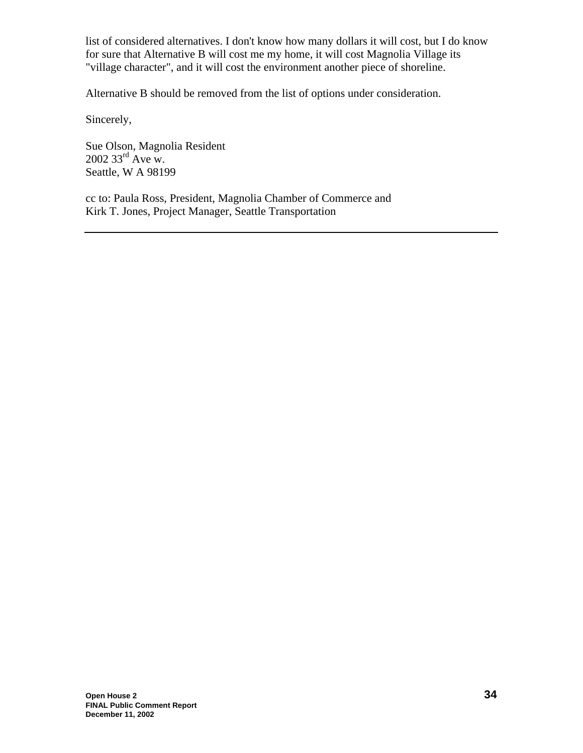list of considered alternatives. I don't know how many dollars it will cost, but I do know for sure that Alternative B will cost me my home, it will cost Magnolia Village its "village character", and it will cost the environment another piece of shoreline.

Alternative B should be removed from the list of options under consideration.

Sincerely,

Sue Olson, Magnolia Resident  $2002$  33<sup>rd</sup> Ave w. Seattle, W A 98199

cc to: Paula Ross, President, Magnolia Chamber of Commerce and Kirk T. Jones, Project Manager, Seattle Transportation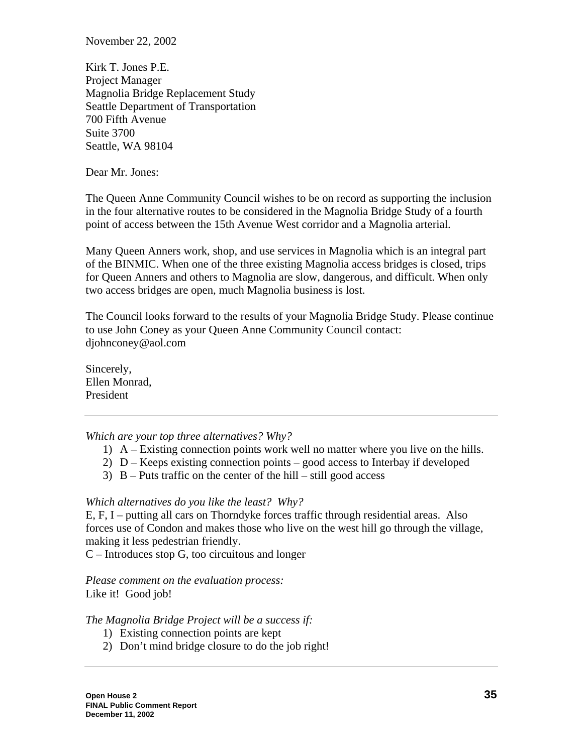November 22, 2002

Kirk T. Jones P.E. Project Manager Magnolia Bridge Replacement Study Seattle Department of Transportation 700 Fifth Avenue Suite 3700 Seattle, WA 98104

Dear Mr. Jones:

The Queen Anne Community Council wishes to be on record as supporting the inclusion in the four alternative routes to be considered in the Magnolia Bridge Study of a fourth point of access between the 15th Avenue West corridor and a Magnolia arterial.

Many Queen Anners work, shop, and use services in Magnolia which is an integral part of the BINMIC. When one of the three existing Magnolia access bridges is closed, trips for Queen Anners and others to Magnolia are slow, dangerous, and difficult. When only two access bridges are open, much Magnolia business is lost.

The Council looks forward to the results of your Magnolia Bridge Study. Please continue to use John Coney as your Queen Anne Community Council contact: djohnconey@aol.com

Sincerely, Ellen Monrad, President

*Which are your top three alternatives? Why?* 

- 1) A Existing connection points work well no matter where you live on the hills.
- 2) D Keeps existing connection points good access to Interbay if developed
- 3)  $B Puts traffic on the center of the hill still good access$

*Which alternatives do you like the least? Why?* 

E, F, I – putting all cars on Thorndyke forces traffic through residential areas. Also forces use of Condon and makes those who live on the west hill go through the village, making it less pedestrian friendly.

C – Introduces stop G, too circuitous and longer

*Please comment on the evaluation process:*  Like it! Good job!

*The Magnolia Bridge Project will be a success if:* 

- 1) Existing connection points are kept
- 2) Don't mind bridge closure to do the job right!